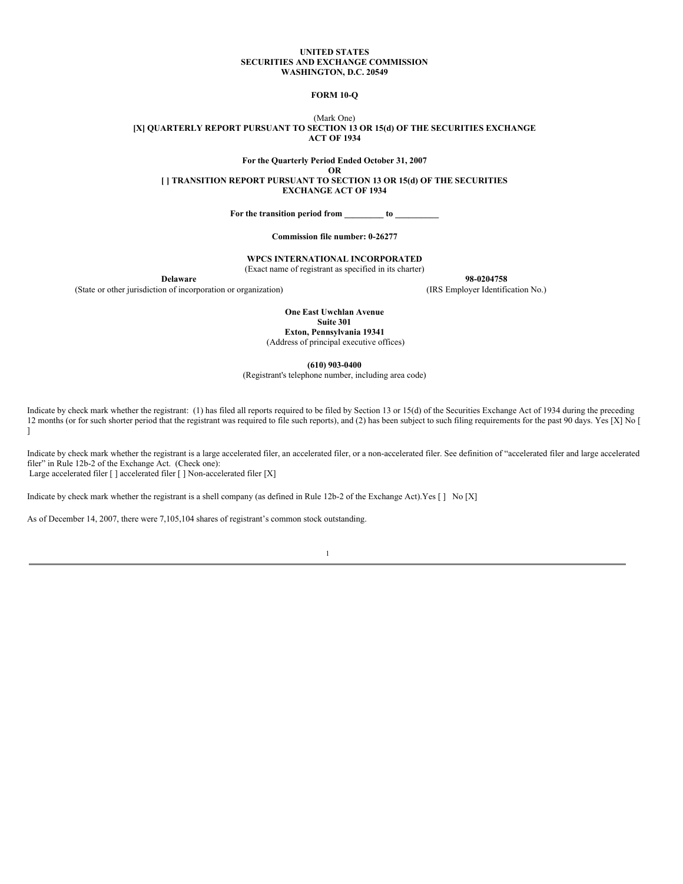#### **UNITED STATES SECURITIES AND EXCHANGE COMMISSION WASHINGTON, D.C. 20549**

#### **FORM 10-Q**

#### (Mark One) **[X] QUARTERLY REPORT PURSUANT TO SECTION 13 OR 15(d) OF THE SECURITIES EXCHANGE ACT OF 1934**

# **For the Quarterly Period Ended October 31, 2007**

**OR**

**[ ] TRANSITION REPORT PURSUANT TO SECTION 13 OR 15(d) OF THE SECURITIES EXCHANGE ACT OF 1934**

**For the transition period from \_\_\_\_\_\_\_\_\_ to \_\_\_\_\_\_\_\_\_\_**

#### **Commission file number: 0-26277**

**WPCS INTERNATIONAL INCORPORATED**

(Exact name of registrant as specified in its charter)

(State or other jurisdiction of incorporation or organization)

**Delaware 98-0204758**<br> **98-0204758**<br> **198-0204758**<br> **198-0204758**<br> **198-0204758**<br> **198-0204758**<br> **198-0204758** 

**One East Uwchlan Avenue Suite 301**

**Exton, Pennsylvania 19341** (Address of principal executive offices)

**(610) 903-0400**

(Registrant's telephone number, including area code)

Indicate by check mark whether the registrant: (1) has filed all reports required to be filed by Section 13 or 15(d) of the Securities Exchange Act of 1934 during the preceding 12 months (or for such shorter period that the registrant was required to file such reports), and (2) has been subject to such filing requirements for the past 90 days. Yes [X] No [  $\mathbf{I}$ 

Indicate by check mark whether the registrant is a large accelerated filer, an accelerated filer, or a non-accelerated filer. See definition of "accelerated filer and large accelerated filer" in Rule 12b-2 of the Exchange Act. (Check one): Large accelerated filer [ ] accelerated filer [ ] Non-accelerated filer [X]

Indicate by check mark whether the registrant is a shell company (as defined in Rule 12b-2 of the Exchange Act).Yes [ ] No [X]

As of December 14, 2007, there were 7,105,104 shares of registrant's common stock outstanding.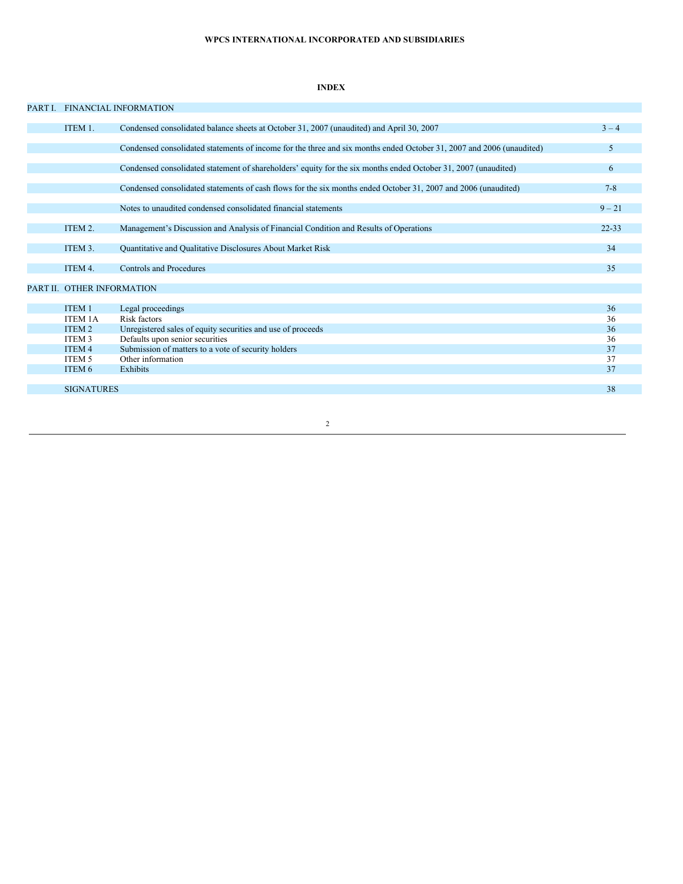| PART I. |                            | <b>FINANCIAL INFORMATION</b>                                                                                         |           |
|---------|----------------------------|----------------------------------------------------------------------------------------------------------------------|-----------|
|         |                            |                                                                                                                      |           |
|         | ITEM 1.                    | Condensed consolidated balance sheets at October 31, 2007 (unaudited) and April 30, 2007                             | $3 - 4$   |
|         |                            |                                                                                                                      |           |
|         |                            | Condensed consolidated statements of income for the three and six months ended October 31, 2007 and 2006 (unaudited) | 5         |
|         |                            |                                                                                                                      |           |
|         |                            | Condensed consolidated statement of shareholders' equity for the six months ended October 31, 2007 (unaudited)       | 6         |
|         |                            |                                                                                                                      |           |
|         |                            | Condensed consolidated statements of cash flows for the six months ended October 31, 2007 and 2006 (unaudited)       | $7 - 8$   |
|         |                            | Notes to unaudited condensed consolidated financial statements                                                       | $9 - 21$  |
|         |                            |                                                                                                                      |           |
|         | ITEM 2.                    | Management's Discussion and Analysis of Financial Condition and Results of Operations                                | $22 - 33$ |
|         |                            |                                                                                                                      |           |
|         | ITEM 3.                    | Quantitative and Qualitative Disclosures About Market Risk                                                           | 34        |
|         |                            |                                                                                                                      |           |
|         | ITEM 4.                    | Controls and Procedures                                                                                              | 35        |
|         |                            |                                                                                                                      |           |
|         | PART II. OTHER INFORMATION |                                                                                                                      |           |
|         |                            |                                                                                                                      |           |
|         | <b>ITEM1</b>               | Legal proceedings                                                                                                    | 36        |
|         | <b>ITEM 1A</b>             | Risk factors                                                                                                         | 36        |
|         | ITEM <sub>2</sub>          | Unregistered sales of equity securities and use of proceeds                                                          | 36        |
|         | ITEM <sub>3</sub>          | Defaults upon senior securities                                                                                      | 36        |
|         | ITEM 4                     | Submission of matters to a vote of security holders                                                                  | 37        |
|         | ITEM <sub>5</sub>          | Other information                                                                                                    | 37        |
|         | ITEM 6                     | Exhibits                                                                                                             | 37        |
|         |                            |                                                                                                                      |           |
|         | <b>SIGNATURES</b>          |                                                                                                                      | 38        |

# **INDEX**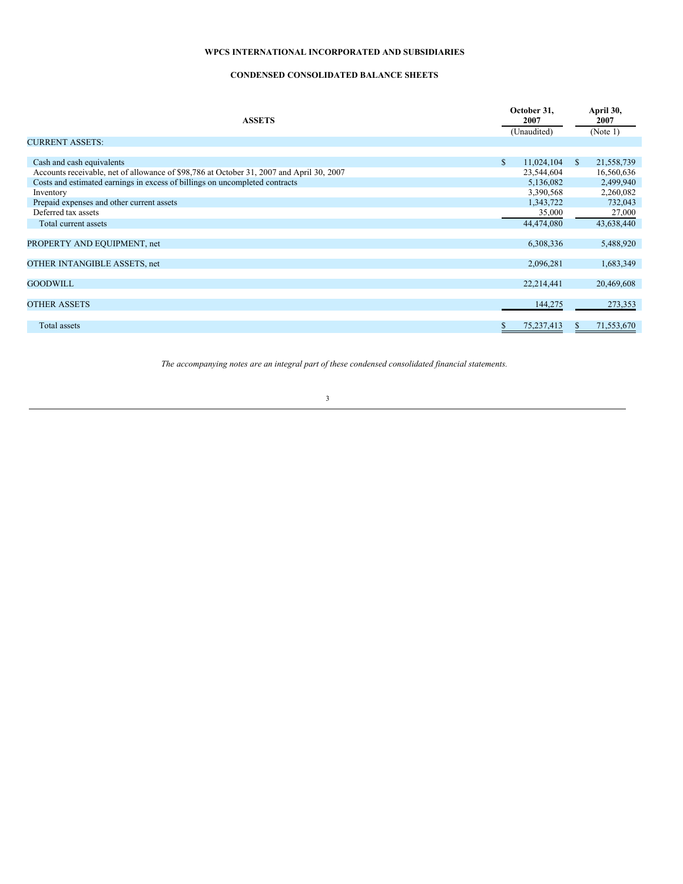# **CONDENSED CONSOLIDATED BALANCE SHEETS**

| <b>ASSETS</b>                                                                            | October 31,<br>2007<br>(Unaudited) |    | April 30,<br>2007<br>(Note 1) |
|------------------------------------------------------------------------------------------|------------------------------------|----|-------------------------------|
| <b>CURRENT ASSETS:</b>                                                                   |                                    |    |                               |
|                                                                                          |                                    |    |                               |
| Cash and cash equivalents                                                                | \$<br>11,024,104                   | S. | 21,558,739                    |
| Accounts receivable, net of allowance of \$98,786 at October 31, 2007 and April 30, 2007 | 23,544,604                         |    | 16,560,636                    |
| Costs and estimated earnings in excess of billings on uncompleted contracts              | 5,136,082                          |    | 2,499,940                     |
| Inventory                                                                                | 3,390,568                          |    | 2,260,082                     |
| Prepaid expenses and other current assets                                                | 1,343,722                          |    | 732,043                       |
| Deferred tax assets                                                                      | 35,000                             |    | 27,000                        |
| Total current assets                                                                     | 44,474,080                         |    | 43,638,440                    |
| PROPERTY AND EQUIPMENT, net                                                              | 6,308,336                          |    | 5,488,920                     |
| OTHER INTANGIBLE ASSETS, net                                                             | 2,096,281                          |    | 1,683,349                     |
| <b>GOODWILL</b>                                                                          | 22,214,441                         |    | 20,469,608                    |
| <b>OTHER ASSETS</b>                                                                      | 144,275                            |    | 273,353                       |
| Total assets                                                                             | 75,237,413                         | Ÿ. | 71,553,670                    |

*The accompanying notes are an integral part of these condensed consolidated financial statements.*

3

<u> 1980 - Johann Barbara, martxa a</u>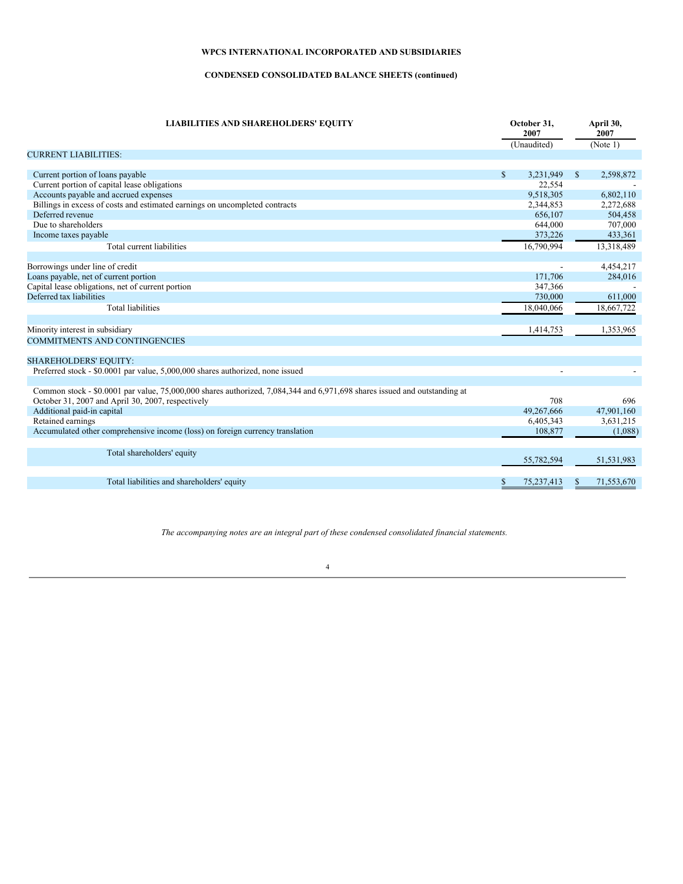# **CONDENSED CONSOLIDATED BALANCE SHEETS (continued)**

| <b>LIABILITIES AND SHAREHOLDERS' EQUITY</b>                                                                               |              | October 31,<br>2007 | April 30,<br>2007 |            |  |
|---------------------------------------------------------------------------------------------------------------------------|--------------|---------------------|-------------------|------------|--|
|                                                                                                                           |              | (Unaudited)         |                   | (Note 1)   |  |
| <b>CURRENT LIABILITIES:</b>                                                                                               |              |                     |                   |            |  |
|                                                                                                                           |              |                     |                   |            |  |
| Current portion of loans payable                                                                                          | $\mathbb{S}$ | 3,231,949           | <sup>\$</sup>     | 2,598,872  |  |
| Current portion of capital lease obligations                                                                              |              | 22,554              |                   |            |  |
| Accounts payable and accrued expenses                                                                                     |              | 9,518,305           |                   | 6,802,110  |  |
| Billings in excess of costs and estimated earnings on uncompleted contracts                                               |              | 2,344,853           |                   | 2,272,688  |  |
| Deferred revenue                                                                                                          |              | 656,107             |                   | 504,458    |  |
| Due to shareholders                                                                                                       |              | 644,000             |                   | 707,000    |  |
| Income taxes payable                                                                                                      |              | 373,226             |                   | 433,361    |  |
| Total current liabilities                                                                                                 |              | 16,790,994          |                   | 13,318,489 |  |
|                                                                                                                           |              |                     |                   |            |  |
| Borrowings under line of credit                                                                                           |              |                     |                   | 4,454,217  |  |
| Loans payable, net of current portion                                                                                     |              | 171,706             |                   | 284,016    |  |
| Capital lease obligations, net of current portion                                                                         |              | 347,366             |                   |            |  |
| Deferred tax liabilities                                                                                                  |              | 730,000             |                   | 611,000    |  |
| <b>Total liabilities</b>                                                                                                  |              | 18,040,066          |                   | 18,667,722 |  |
|                                                                                                                           |              |                     |                   |            |  |
| Minority interest in subsidiary                                                                                           |              | 1,414,753           |                   | 1,353,965  |  |
| <b>COMMITMENTS AND CONTINGENCIES</b>                                                                                      |              |                     |                   |            |  |
|                                                                                                                           |              |                     |                   |            |  |
| <b>SHAREHOLDERS' EQUITY:</b>                                                                                              |              |                     |                   |            |  |
| Preferred stock - \$0.0001 par value, 5,000,000 shares authorized, none issued                                            |              |                     |                   |            |  |
| Common stock - \$0.0001 par value, 75,000,000 shares authorized, 7,084,344 and 6,971,698 shares issued and outstanding at |              |                     |                   |            |  |
|                                                                                                                           |              | 708                 |                   | 696        |  |
| October 31, 2007 and April 30, 2007, respectively<br>Additional paid-in capital                                           |              | 49,267,666          |                   | 47,901,160 |  |
| Retained earnings                                                                                                         |              | 6,405,343           |                   | 3,631,215  |  |
| Accumulated other comprehensive income (loss) on foreign currency translation                                             |              | 108,877             |                   | (1,088)    |  |
|                                                                                                                           |              |                     |                   |            |  |
| Total shareholders' equity                                                                                                |              |                     |                   |            |  |
|                                                                                                                           |              | 55,782,594          |                   | 51,531,983 |  |
| Total liabilities and shareholders' equity                                                                                | \$           | 75,237,413          |                   | 71,553,670 |  |
|                                                                                                                           |              |                     |                   |            |  |

*The accompanying notes are an integral part of these condensed consolidated financial statements.*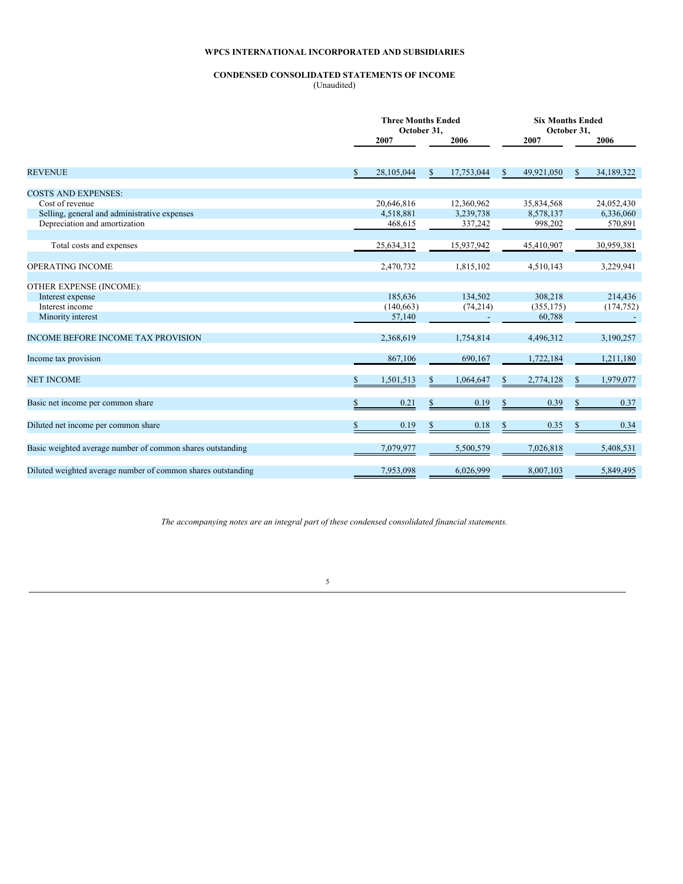# **CONDENSED CONSOLIDATED STATEMENTS OF INCOME**

(Unaudited)

|                                                              |    | <b>Three Months Ended</b><br>October 31, |               |            |    | <b>Six Months Ended</b><br>October 31, |    |            |  |
|--------------------------------------------------------------|----|------------------------------------------|---------------|------------|----|----------------------------------------|----|------------|--|
|                                                              |    | 2007                                     |               | 2006       |    | 2007                                   |    | 2006       |  |
| <b>REVENUE</b>                                               | S. | 28,105,044                               | <sup>\$</sup> | 17,753,044 | \$ | 49,921,050                             | S. | 34,189,322 |  |
| <b>COSTS AND EXPENSES:</b>                                   |    |                                          |               |            |    |                                        |    |            |  |
| Cost of revenue                                              |    | 20,646,816                               |               | 12,360,962 |    | 35,834,568                             |    | 24,052,430 |  |
| Selling, general and administrative expenses                 |    | 4,518,881                                |               | 3,239,738  |    | 8,578,137                              |    | 6,336,060  |  |
| Depreciation and amortization                                |    | 468,615                                  |               | 337,242    |    | 998,202                                |    | 570,891    |  |
| Total costs and expenses                                     |    | 25,634,312                               |               | 15,937,942 |    | 45,410,907                             |    | 30,959,381 |  |
| <b>OPERATING INCOME</b>                                      |    | 2,470,732                                |               | 1,815,102  |    | 4,510,143                              |    | 3,229,941  |  |
| OTHER EXPENSE (INCOME):                                      |    |                                          |               |            |    |                                        |    |            |  |
| Interest expense                                             |    | 185,636                                  |               | 134,502    |    | 308,218                                |    | 214,436    |  |
| Interest income                                              |    | (140, 663)                               |               | (74,214)   |    | (355, 175)                             |    | (174, 752) |  |
| Minority interest                                            |    | 57,140                                   |               |            |    | 60,788                                 |    |            |  |
| <b>INCOME BEFORE INCOME TAX PROVISION</b>                    |    | 2,368,619                                |               | 1,754,814  |    | 4,496,312                              |    | 3,190,257  |  |
| Income tax provision                                         |    | 867,106                                  |               | 690,167    |    | 1,722,184                              |    | 1,211,180  |  |
| <b>NET INCOME</b>                                            | \$ | 1,501,513                                | \$            | 1,064,647  | \$ | 2,774,128                              |    | 1,979,077  |  |
| Basic net income per common share                            |    | 0.21                                     | S             | 0.19       | \$ | 0.39                                   |    | 0.37       |  |
| Diluted net income per common share                          | \$ | 0.19                                     | \$            | 0.18       | \$ | 0.35                                   | \$ | 0.34       |  |
|                                                              |    |                                          |               |            |    |                                        |    |            |  |
| Basic weighted average number of common shares outstanding   |    | 7,079,977                                |               | 5,500,579  |    | 7,026,818                              |    | 5,408,531  |  |
| Diluted weighted average number of common shares outstanding |    | 7,953,098                                |               | 6,026,999  |    | 8,007,103                              |    | 5,849,495  |  |
|                                                              |    |                                          |               |            |    |                                        |    |            |  |

*The accompanying notes are an integral part of these condensed consolidated financial statements.*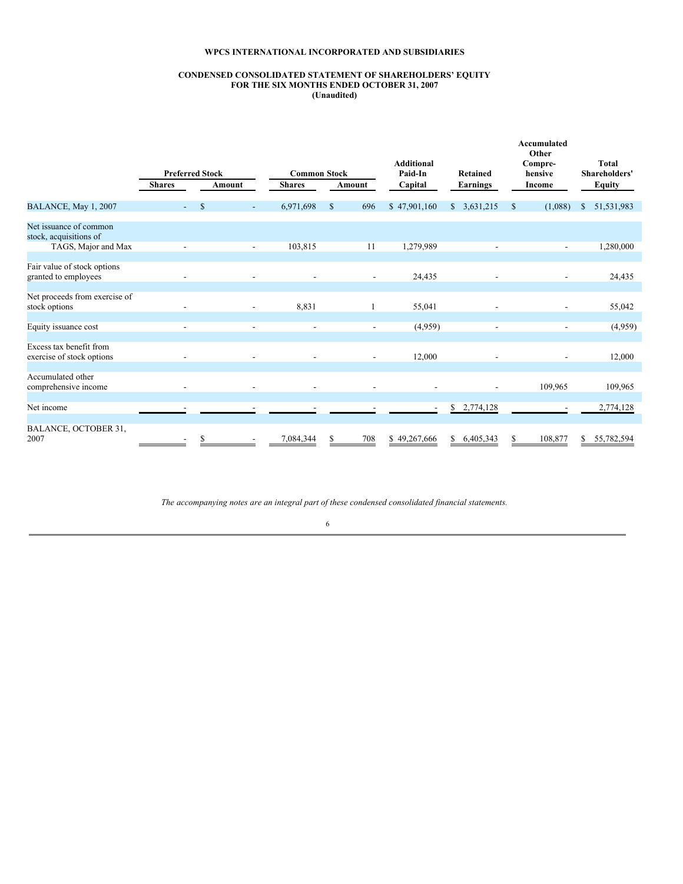#### **CONDENSED CONSOLIDATED STATEMENT OF SHAREHOLDERS' EQUITY FOR THE SIX MONTHS ENDED OCTOBER 31, 2007 (Unaudited)**

|                                                      | <b>Preferred Stock</b> |    |                          | <b>Common Stock</b> |              |                          | <b>Retained</b> | <b>Accumulated</b><br>Other<br>Compre-<br>hensive |              | <b>Total</b><br>Shareholders' |                  |
|------------------------------------------------------|------------------------|----|--------------------------|---------------------|--------------|--------------------------|-----------------|---------------------------------------------------|--------------|-------------------------------|------------------|
|                                                      | <b>Shares</b>          |    | Amount                   | <b>Shares</b>       |              | Amount                   | Capital         | <b>Earnings</b>                                   |              | Income                        | <b>Equity</b>    |
| BALANCE, May 1, 2007                                 | $\sim$                 | \$ | $\overline{\phantom{a}}$ | 6,971,698           | $\mathbb{S}$ | 696                      | \$47,901,160    | \$3,631,215                                       | $\mathbb{S}$ | (1,088)                       | 51,531,983<br>\$ |
| Net issuance of common<br>stock, acquisitions of     |                        |    |                          |                     |              |                          |                 |                                                   |              |                               |                  |
| TAGS, Major and Max                                  |                        |    | $\overline{\phantom{a}}$ | 103,815             |              | 11                       | 1,279,989       | $\overline{\phantom{a}}$                          |              | $\overline{\phantom{a}}$      | 1,280,000        |
| Fair value of stock options                          |                        |    |                          |                     |              |                          |                 |                                                   |              |                               |                  |
| granted to employees                                 |                        |    |                          |                     |              | $\overline{\phantom{a}}$ | 24,435          |                                                   |              | $\overline{\phantom{a}}$      | 24,435           |
| Net proceeds from exercise of<br>stock options       |                        |    |                          | 8,831               |              |                          | 55,041          |                                                   |              |                               | 55,042           |
| Equity issuance cost                                 |                        |    | $\overline{a}$           | $\overline{a}$      |              | $\overline{\phantom{a}}$ | (4,959)         |                                                   |              |                               | (4,959)          |
| Excess tax benefit from<br>exercise of stock options |                        |    |                          |                     |              |                          | 12,000          |                                                   |              |                               | 12,000           |
| Accumulated other<br>comprehensive income            |                        |    | $\overline{\phantom{a}}$ |                     |              |                          |                 |                                                   |              | 109,965                       | 109,965          |
| Net income                                           |                        |    |                          |                     |              |                          |                 | 2,774,128<br>\$                                   |              |                               | 2,774,128        |
| BALANCE, OCTOBER 31,<br>2007                         |                        | S  |                          | 7,084,344           | S            | 708                      | \$49,267,666    | 6,405,343                                         |              | 108,877                       | 55,782,594       |

*The accompanying notes are an integral part of these condensed consolidated financial statements.*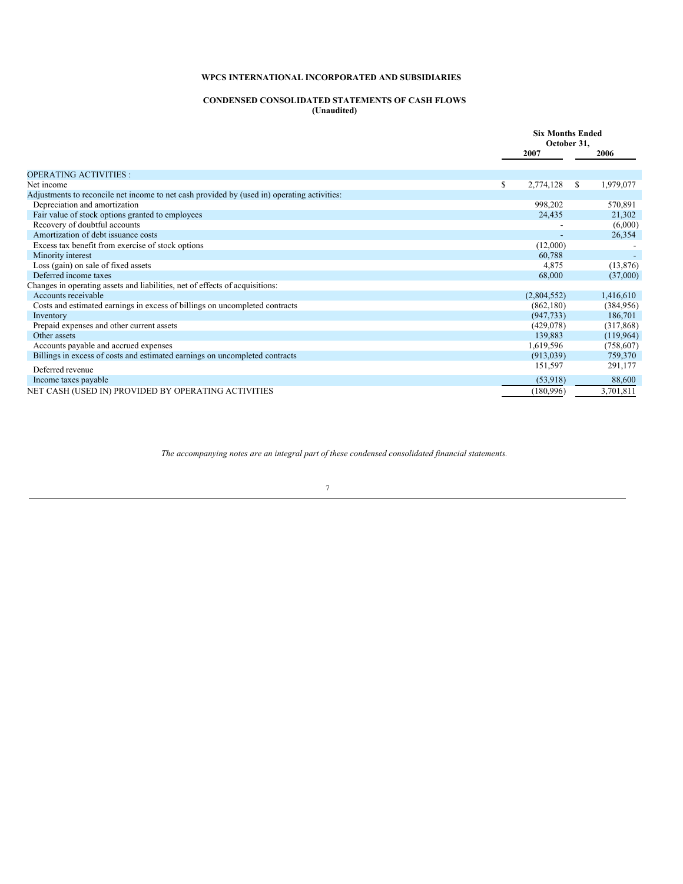#### **CONDENSED CONSOLIDATED STATEMENTS OF CASH FLOWS (Unaudited)**

|                                                                                             | <b>Six Months Ended</b><br>October 31, |                 |  |  |
|---------------------------------------------------------------------------------------------|----------------------------------------|-----------------|--|--|
|                                                                                             | 2007                                   | 2006            |  |  |
| <b>OPERATING ACTIVITIES:</b>                                                                |                                        |                 |  |  |
| Net income                                                                                  | \$<br>2,774,128                        | S.<br>1,979,077 |  |  |
| Adjustments to reconcile net income to net cash provided by (used in) operating activities: |                                        |                 |  |  |
| Depreciation and amortization                                                               | 998,202                                | 570,891         |  |  |
| Fair value of stock options granted to employees                                            | 24,435                                 | 21,302          |  |  |
| Recovery of doubtful accounts                                                               |                                        | (6,000)         |  |  |
| Amortization of debt issuance costs                                                         |                                        | 26,354          |  |  |
| Excess tax benefit from exercise of stock options                                           | (12,000)                               |                 |  |  |
| Minority interest                                                                           | 60,788                                 |                 |  |  |
| Loss (gain) on sale of fixed assets                                                         | 4,875                                  | (13, 876)       |  |  |
| Deferred income taxes                                                                       | 68,000                                 | (37,000)        |  |  |
| Changes in operating assets and liabilities, net of effects of acquisitions:                |                                        |                 |  |  |
| Accounts receivable                                                                         | (2,804,552)                            | 1,416,610       |  |  |
| Costs and estimated earnings in excess of billings on uncompleted contracts                 | (862, 180)                             | (384, 956)      |  |  |
| Inventory                                                                                   | (947, 733)                             | 186,701         |  |  |
| Prepaid expenses and other current assets                                                   | (429,078)                              | (317, 868)      |  |  |
| Other assets                                                                                | 139,883                                | (119, 964)      |  |  |
| Accounts payable and accrued expenses                                                       | 1,619,596                              | (758, 607)      |  |  |
| Billings in excess of costs and estimated earnings on uncompleted contracts                 | (913,039)                              | 759,370         |  |  |
| Deferred revenue                                                                            | 151,597                                | 291,177         |  |  |
| Income taxes payable                                                                        | (53,918)                               | 88,600          |  |  |
| NET CASH (USED IN) PROVIDED BY OPERATING ACTIVITIES                                         | (180, 996)                             | 3,701,811       |  |  |

*The accompanying notes are an integral part of these condensed consolidated financial statements.*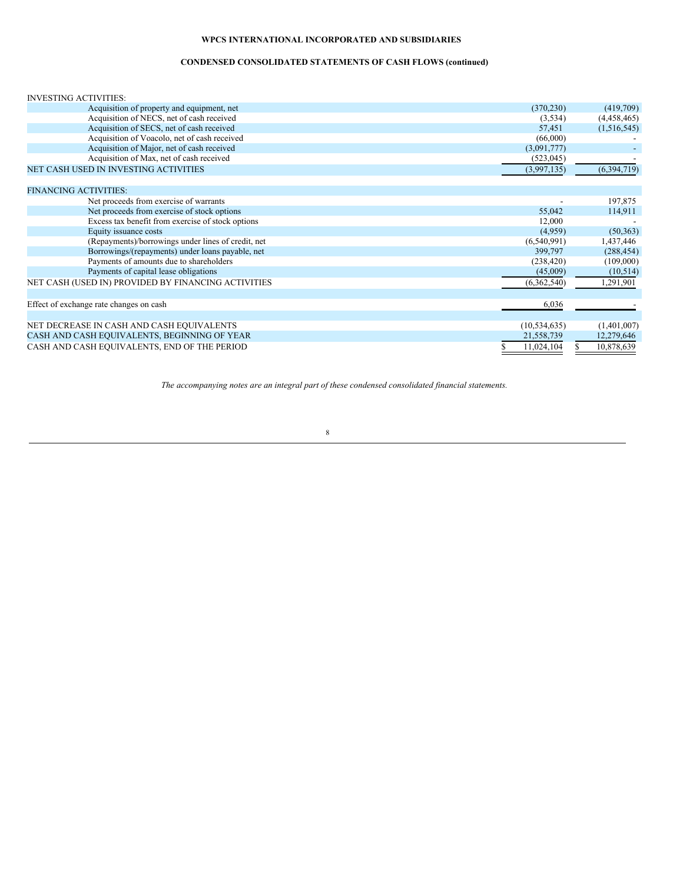# **CONDENSED CONSOLIDATED STATEMENTS OF CASH FLOWS (continued)**

| <b>INVESTING ACTIVITIES:</b>                        |                |             |
|-----------------------------------------------------|----------------|-------------|
| Acquisition of property and equipment, net          | (370, 230)     | (419,709)   |
| Acquisition of NECS, net of cash received           | (3,534)        | (4,458,465) |
| Acquisition of SECS, net of cash received           | 57,451         | (1,516,545) |
| Acquisition of Voacolo, net of cash received        | (66,000)       |             |
| Acquisition of Major, net of cash received          | (3,091,777)    |             |
| Acquisition of Max, net of cash received            | (523, 045)     |             |
| NET CASH USED IN INVESTING ACTIVITIES               | (3,997,135)    | (6,394,719) |
|                                                     |                |             |
| <b>FINANCING ACTIVITIES:</b>                        |                |             |
| Net proceeds from exercise of warrants              |                | 197,875     |
| Net proceeds from exercise of stock options         | 55,042         | 114,911     |
| Excess tax benefit from exercise of stock options   | 12,000         |             |
| Equity issuance costs                               | (4,959)        | (50, 363)   |
| (Repayments)/borrowings under lines of credit, net  | (6,540,991)    | 1,437,446   |
| Borrowings/(repayments) under loans payable, net    | 399,797        | (288, 454)  |
| Payments of amounts due to shareholders             | (238, 420)     | (109,000)   |
| Payments of capital lease obligations               | (45,009)       | (10, 514)   |
| NET CASH (USED IN) PROVIDED BY FINANCING ACTIVITIES | (6,362,540)    | 1,291,901   |
|                                                     |                |             |
| Effect of exchange rate changes on cash             | 6,036          |             |
|                                                     |                |             |
| NET DECREASE IN CASH AND CASH EQUIVALENTS           | (10, 534, 635) | (1,401,007) |
| CASH AND CASH EQUIVALENTS, BEGINNING OF YEAR        | 21,558,739     | 12,279,646  |
| CASH AND CASH EQUIVALENTS, END OF THE PERIOD        | 11,024,104     | 10,878,639  |

*The accompanying notes are an integral part of these condensed consolidated financial statements.*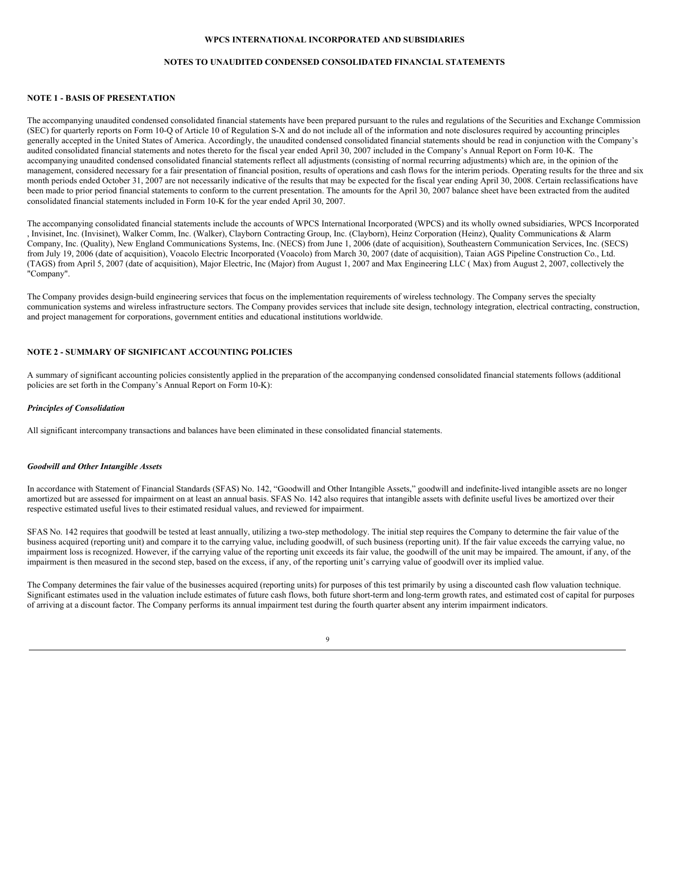# **NOTES TO UNAUDITED CONDENSED CONSOLIDATED FINANCIAL STATEMENTS**

# **NOTE 1 - BASIS OF PRESENTATION**

The accompanying unaudited condensed consolidated financial statements have been prepared pursuant to the rules and regulations of the Securities and Exchange Commission (SEC) for quarterly reports on Form 10-Q of Article 10 of Regulation S-X and do not include all of the information and note disclosures required by accounting principles generally accepted in the United States of America. Accordingly, the unaudited condensed consolidated financial statements should be read in conjunction with the Company's audited consolidated financial statements and notes thereto for the fiscal year ended April 30, 2007 included in the Company's Annual Report on Form 10-K. The accompanying unaudited condensed consolidated financial statements reflect all adjustments (consisting of normal recurring adjustments) which are, in the opinion of the management, considered necessary for a fair presentation of financial position, results of operations and cash flows for the interim periods. Operating results for the three and six month periods ended October 31, 2007 are not necessarily indicative of the results that may be expected for the fiscal year ending April 30, 2008. Certain reclassifications have been made to prior period financial statements to conform to the current presentation. The amounts for the April 30, 2007 balance sheet have been extracted from the audited consolidated financial statements included in Form 10-K for the year ended April 30, 2007.

The accompanying consolidated financial statements include the accounts of WPCS International Incorporated (WPCS) and its wholly owned subsidiaries, WPCS Incorporated , Invisinet, Inc. (Invisinet), Walker Comm, Inc. (Walker), Clayborn Contracting Group, Inc. (Clayborn), Heinz Corporation (Heinz), Quality Communications & Alarm Company, Inc. (Quality), New England Communications Systems, Inc. (NECS) from June 1, 2006 (date of acquisition), Southeastern Communication Services, Inc. (SECS) from July 19, 2006 (date of acquisition), Voacolo Electric Incorporated (Voacolo) from March 30, 2007 (date of acquisition), Taian AGS Pipeline Construction Co., Ltd. (TAGS) from April 5, 2007 (date of acquisition), Major Electric, Inc (Major) from August 1, 2007 and Max Engineering LLC ( Max) from August 2, 2007, collectively the "Company".

The Company provides design-build engineering services that focus on the implementation requirements of wireless technology. The Company serves the specialty communication systems and wireless infrastructure sectors. The Company provides services that include site design, technology integration, electrical contracting, construction, and project management for corporations, government entities and educational institutions worldwide.

# **NOTE 2 - SUMMARY OF SIGNIFICANT ACCOUNTING POLICIES**

A summary of significant accounting policies consistently applied in the preparation of the accompanying condensed consolidated financial statements follows (additional policies are set forth in the Company's Annual Report on Form 10-K):

#### *Principles of Consolidation*

All significant intercompany transactions and balances have been eliminated in these consolidated financial statements.

#### *Goodwill and Other Intangible Assets*

In accordance with Statement of Financial Standards (SFAS) No. 142, "Goodwill and Other Intangible Assets," goodwill and indefinite-lived intangible assets are no longer amortized but are assessed for impairment on at least an annual basis. SFAS No. 142 also requires that intangible assets with definite useful lives be amortized over their respective estimated useful lives to their estimated residual values, and reviewed for impairment.

SFAS No. 142 requires that goodwill be tested at least annually, utilizing a two-step methodology. The initial step requires the Company to determine the fair value of the business acquired (reporting unit) and compare it to the carrying value, including goodwill, of such business (reporting unit). If the fair value exceeds the carrying value, no impairment loss is recognized. However, if the carrying value of the reporting unit exceeds its fair value, the goodwill of the unit may be impaired. The amount, if any, of the impairment is then measured in the second step, based on the excess, if any, of the reporting unit's carrying value of goodwill over its implied value.

The Company determines the fair value of the businesses acquired (reporting units) for purposes of this test primarily by using a discounted cash flow valuation technique. Significant estimates used in the valuation include estimates of future cash flows, both future short-term and long-term growth rates, and estimated cost of capital for purposes of arriving at a discount factor. The Company performs its annual impairment test during the fourth quarter absent any interim impairment indicators.

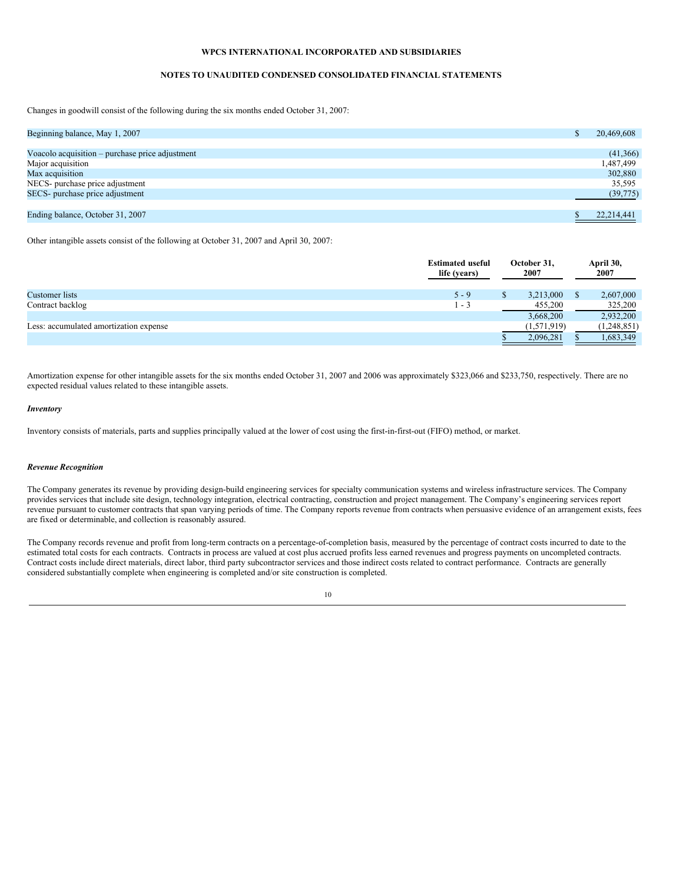# **NOTES TO UNAUDITED CONDENSED CONSOLIDATED FINANCIAL STATEMENTS**

Changes in goodwill consist of the following during the six months ended October 31, 2007:

| Beginning balance, May 1, 2007                  | 20,469,608 |
|-------------------------------------------------|------------|
|                                                 |            |
| Voacolo acquisition – purchase price adjustment | (41,366)   |
| Major acquisition                               | 1,487,499  |
| Max acquisition                                 | 302,880    |
| NECS- purchase price adjustment                 | 35,595     |
| SECS- purchase price adjustment                 | (39,775)   |
|                                                 |            |
| Ending balance, October 31, 2007                | 22,214,441 |

Other intangible assets consist of the following at October 31, 2007 and April 30, 2007:

|                                        | <b>Estimated useful</b><br>life (years) | October 31,<br>2007 | April 30,<br>2007 |
|----------------------------------------|-----------------------------------------|---------------------|-------------------|
| Customer lists                         | $5 - 9$                                 | 3,213,000           | 2,607,000         |
| Contract backlog                       | l - 3                                   | 455,200             | 325,200           |
|                                        |                                         | 3,668,200           | 2,932,200         |
| Less: accumulated amortization expense |                                         | (1,571,919)         | (1, 248, 851)     |
|                                        |                                         | 2,096,281           | 1,683,349         |

Amortization expense for other intangible assets for the six months ended October 31, 2007 and 2006 was approximately \$323,066 and \$233,750, respectively. There are no expected residual values related to these intangible assets.

#### *Inventory*

Inventory consists of materials, parts and supplies principally valued at the lower of cost using the first-in-first-out (FIFO) method, or market.

## *Revenue Recognition*

The Company generates its revenue by providing design-build engineering services for specialty communication systems and wireless infrastructure services. The Company provides services that include site design, technology integration, electrical contracting, construction and project management. The Company's engineering services report revenue pursuant to customer contracts that span varying periods of time. The Company reports revenue from contracts when persuasive evidence of an arrangement exists, fees are fixed or determinable, and collection is reasonably assured.

The Company records revenue and profit from long-term contracts on a percentage-of-completion basis, measured by the percentage of contract costs incurred to date to the estimated total costs for each contracts. Contracts in process are valued at cost plus accrued profits less earned revenues and progress payments on uncompleted contracts. Contract costs include direct materials, direct labor, third party subcontractor services and those indirect costs related to contract performance. Contracts are generally considered substantially complete when engineering is completed and/or site construction is completed.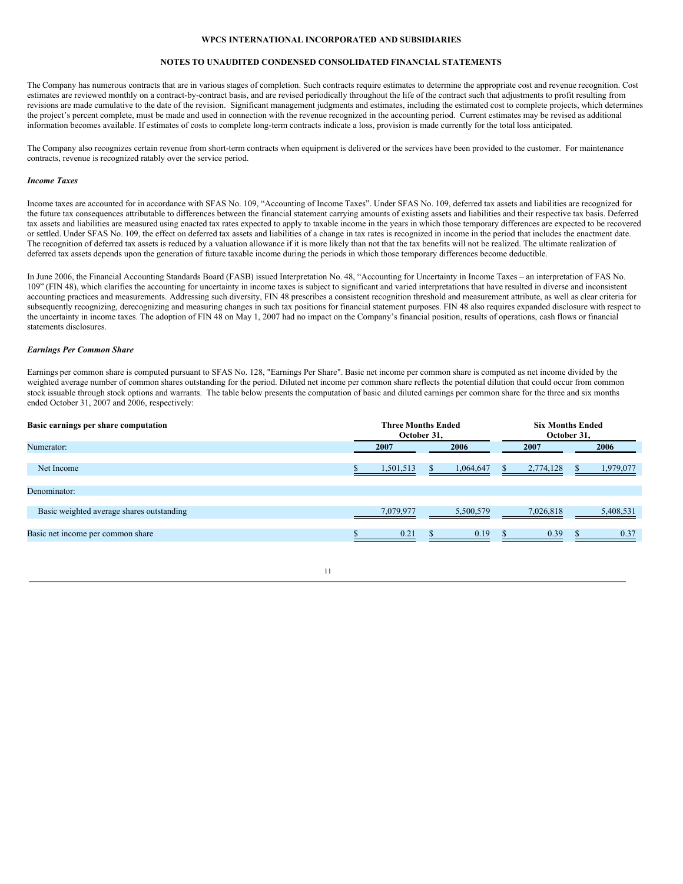### **NOTES TO UNAUDITED CONDENSED CONSOLIDATED FINANCIAL STATEMENTS**

The Company has numerous contracts that are in various stages of completion. Such contracts require estimates to determine the appropriate cost and revenue recognition. Cost estimates are reviewed monthly on a contract-by-contract basis, and are revised periodically throughout the life of the contract such that adjustments to profit resulting from revisions are made cumulative to the date of the revision. Significant management judgments and estimates, including the estimated cost to complete projects, which determines the project's percent complete, must be made and used in connection with the revenue recognized in the accounting period. Current estimates may be revised as additional information becomes available. If estimates of costs to complete long-term contracts indicate a loss, provision is made currently for the total loss anticipated.

The Company also recognizes certain revenue from short-term contracts when equipment is delivered or the services have been provided to the customer. For maintenance contracts, revenue is recognized ratably over the service period.

#### *Income Taxes*

Income taxes are accounted for in accordance with SFAS No. 109, "Accounting of Income Taxes". Under SFAS No. 109, deferred tax assets and liabilities are recognized for the future tax consequences attributable to differences between the financial statement carrying amounts of existing assets and liabilities and their respective tax basis. Deferred tax assets and liabilities are measured using enacted tax rates expected to apply to taxable income in the years in which those temporary differences are expected to be recovered or settled. Under SFAS No. 109, the effect on deferred tax assets and liabilities of a change in tax rates is recognized in income in the period that includes the enactment date. The recognition of deferred tax assets is reduced by a valuation allowance if it is more likely than not that the tax benefits will not be realized. The ultimate realization of deferred tax assets depends upon the generation of future taxable income during the periods in which those temporary differences become deductible.

In June 2006, the Financial Accounting Standards Board (FASB) issued Interpretation No. 48, "Accounting for Uncertainty in Income Taxes – an interpretation of FAS No. 109" (FIN 48), which clarifies the accounting for uncertainty in income taxes is subject to significant and varied interpretations that have resulted in diverse and inconsistent accounting practices and measurements. Addressing such diversity, FIN 48 prescribes a consistent recognition threshold and measurement attribute, as well as clear criteria for subsequently recognizing, derecognizing and measuring changes in such tax positions for financial statement purposes. FIN 48 also requires expanded disclosure with respect to the uncertainty in income taxes. The adoption of FIN 48 on May 1, 2007 had no impact on the Company's financial position, results of operations, cash flows or financial statements disclosures.

#### *Earnings Per Common Share*

Earnings per common share is computed pursuant to SFAS No. 128, "Earnings Per Share". Basic net income per common share is computed as net income divided by the weighted average number of common shares outstanding for the period. Diluted net income per common share reflects the potential dilution that could occur from common stock issuable through stock options and warrants. The table below presents the computation of basic and diluted earnings per common share for the three and six months ended October 31, 2007 and 2006, respectively:

| Basic earnings per share computation      |           | <b>Three Months Ended</b><br>October 31. |           | <b>Six Months Ended</b><br>October 31, |           |  |           |      |  |
|-------------------------------------------|-----------|------------------------------------------|-----------|----------------------------------------|-----------|--|-----------|------|--|
| Numerator:                                | 2007      |                                          |           |                                        | 2006      |  | 2007      | 2006 |  |
| Net Income                                |           | 1,501,513                                | 1,064,647 |                                        | 2,774,128 |  | 1,979,077 |      |  |
| Denominator:                              |           |                                          |           |                                        |           |  |           |      |  |
| Basic weighted average shares outstanding | 7,079,977 |                                          | 5,500,579 |                                        | 7,026,818 |  | 5,408,531 |      |  |
| Basic net income per common share         |           | 0.21                                     | 0.19      | м                                      | 0.39      |  | 0.37      |      |  |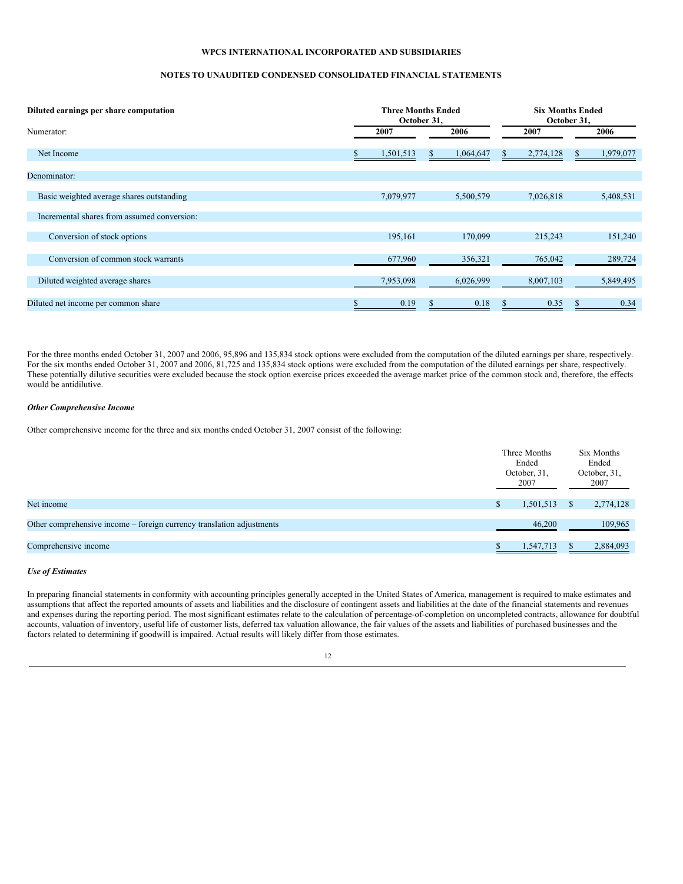# **NOTES TO UNAUDITED CONDENSED CONSOLIDATED FINANCIAL STATEMENTS**

| Diluted earnings per share computation      | <b>Three Months Ended</b> | <b>Six Months Ended</b><br>October 31, |    |           |      |           |    |           |
|---------------------------------------------|---------------------------|----------------------------------------|----|-----------|------|-----------|----|-----------|
| Numerator:                                  |                           | 2007                                   |    | 2006      | 2007 |           |    | 2006      |
| Net Income                                  |                           | 1,501,513                              | Ъ. | 1,064,647 | Ъ.   | 2,774,128 | Ъ. | 1,979,077 |
| Denominator:                                |                           |                                        |    |           |      |           |    |           |
| Basic weighted average shares outstanding   |                           | 7,079,977                              |    | 5,500,579 |      | 7,026,818 |    | 5,408,531 |
| Incremental shares from assumed conversion: |                           |                                        |    |           |      |           |    |           |
| Conversion of stock options                 |                           | 195,161                                |    | 170,099   |      | 215,243   |    | 151,240   |
| Conversion of common stock warrants         |                           | 677,960                                |    | 356,321   |      | 765,042   |    | 289,724   |
| Diluted weighted average shares             |                           | 7,953,098                              |    | 6,026,999 |      | 8,007,103 |    | 5,849,495 |
| Diluted net income per common share         |                           | 0.19                                   | S. | 0.18      | Ф    | 0.35      |    | 0.34      |

For the three months ended October 31, 2007 and 2006, 95,896 and 135,834 stock options were excluded from the computation of the diluted earnings per share, respectively. For the six months ended October 31, 2007 and 2006, 81,725 and 135,834 stock options were excluded from the computation of the diluted earnings per share, respectively. These potentially dilutive securities were excluded because the stock option exercise prices exceeded the average market price of the common stock and, therefore, the effects would be antidilutive.

### *Other Comprehensive Income*

Other comprehensive income for the three and six months ended October 31, 2007 consist of the following:

|                                                                       |    | Three Months<br>Ended<br>October, 31,<br>2007 | Six Months<br>Ended<br>October, 31,<br>2007 |           |  |
|-----------------------------------------------------------------------|----|-----------------------------------------------|---------------------------------------------|-----------|--|
| Net income                                                            | S. | 1,501,513                                     | S                                           | 2,774,128 |  |
|                                                                       |    |                                               |                                             |           |  |
| Other comprehensive income – foreign currency translation adjustments |    | 46,200                                        |                                             | 109,965   |  |
|                                                                       |    |                                               |                                             |           |  |
| Comprehensive income                                                  |    | 1,547,713                                     |                                             | 2,884,093 |  |

#### *Use of Estimates*

In preparing financial statements in conformity with accounting principles generally accepted in the United States of America, management is required to make estimates and assumptions that affect the reported amounts of assets and liabilities and the disclosure of contingent assets and liabilities at the date of the financial statements and revenues and expenses during the reporting period. The most significant estimates relate to the calculation of percentage-of-completion on uncompleted contracts, allowance for doubtful accounts, valuation of inventory, useful life of customer lists, deferred tax valuation allowance, the fair values of the assets and liabilities of purchased businesses and the factors related to determining if goodwill is impaired. Actual results will likely differ from those estimates.

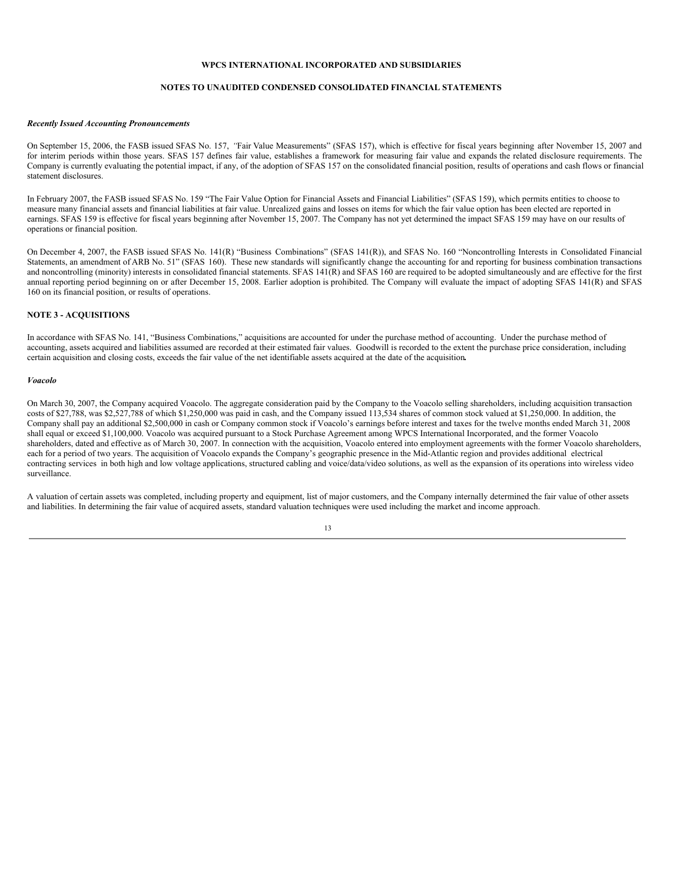### **NOTES TO UNAUDITED CONDENSED CONSOLIDATED FINANCIAL STATEMENTS**

#### *Recently Issued Accounting Pronouncements*

On September 15, 2006, the FASB issued SFAS No. 157, *"*Fair Value Measurements" (SFAS 157), which is effective for fiscal years beginning after November 15, 2007 and for interim periods within those years. SFAS 157 defines fair value, establishes a framework for measuring fair value and expands the related disclosure requirements. The Company is currently evaluating the potential impact, if any, of the adoption of SFAS 157 on the consolidated financial position, results of operations and cash flows or financial statement disclosures.

In February 2007, the FASB issued SFAS No. 159 "The Fair Value Option for Financial Assets and Financial Liabilities" (SFAS 159), which permits entities to choose to measure many financial assets and financial liabilities at fair value. Unrealized gains and losses on items for which the fair value option has been elected are reported in earnings. SFAS 159 is effective for fiscal years beginning after November 15, 2007. The Company has not yet determined the impact SFAS 159 may have on our results of operations or financial position.

On December 4, 2007, the FASB issued SFAS No. 141(R) "Business Combinations" (SFAS 141(R)), and SFAS No. 160 "Noncontrolling Interests in Consolidated Financial Statements, an amendment of ARB No. 51" (SFAS 160). These new standards will significantly change the accounting for and reporting for business combination transactions and noncontrolling (minority) interests in consolidated financial statements. SFAS 141(R) and SFAS 160 are required to be adopted simultaneously and are effective for the first annual reporting period beginning on or after December 15, 2008. Earlier adoption is prohibited. The Company will evaluate the impact of adopting SFAS 141(R) and SFAS 160 on its financial position, or results of operations.

#### **NOTE 3 - ACQUISITIONS**

In accordance with SFAS No. 141, "Business Combinations," acquisitions are accounted for under the purchase method of accounting. Under the purchase method of accounting, assets acquired and liabilities assumed are recorded at their estimated fair values. Goodwill is recorded to the extent the purchase price consideration, including certain acquisition and closing costs, exceeds the fair value of the net identifiable assets acquired at the date of the acquisition*.*

#### *Voacolo*

On March 30, 2007, the Company acquired Voacolo. The aggregate consideration paid by the Company to the Voacolo selling shareholders, including acquisition transaction costs of \$27,788, was \$2,527,788 of which \$1,250,000 was paid in cash, and the Company issued 113,534 shares of common stock valued at \$1,250,000. In addition, the Company shall pay an additional \$2,500,000 in cash or Company common stock if Voacolo's earnings before interest and taxes for the twelve months ended March 31, 2008 shall equal or exceed \$1,100,000. Voacolo was acquired pursuant to a Stock Purchase Agreement among WPCS International Incorporated, and the former Voacolo shareholders, dated and effective as of March 30, 2007. In connection with the acquisition, Voacolo entered into employment agreements with the former Voacolo shareholders, each for a period of two years. The acquisition of Voacolo expands the Company's geographic presence in the Mid-Atlantic region and provides additional electrical contracting services in both high and low voltage applications, structured cabling and voice/data/video solutions, as well as the expansion of its operations into wireless video surveillance.

A valuation of certain assets was completed, including property and equipment, list of major customers, and the Company internally determined the fair value of other assets and liabilities. In determining the fair value of acquired assets, standard valuation techniques were used including the market and income approach.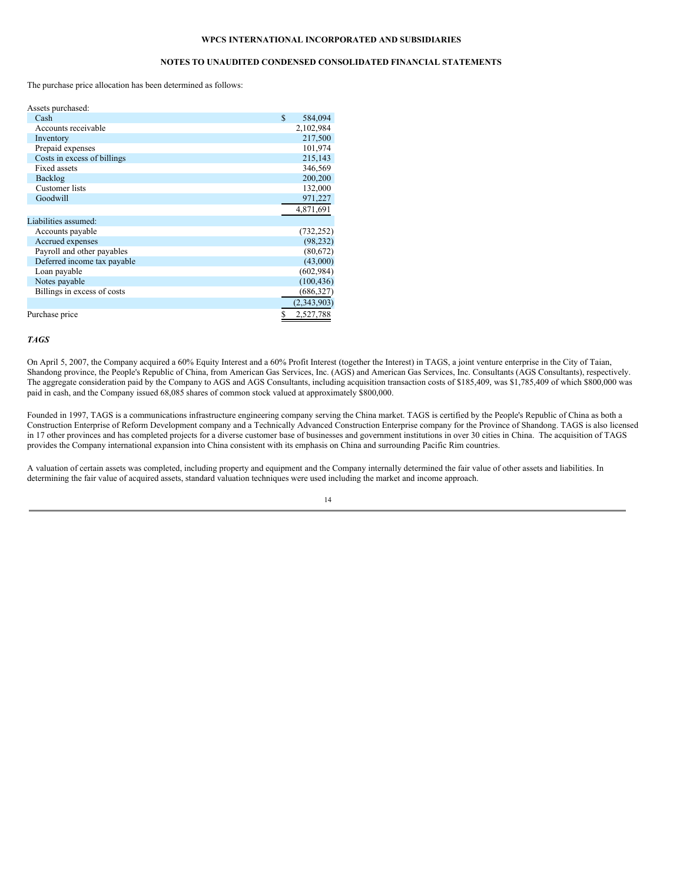# **NOTES TO UNAUDITED CONDENSED CONSOLIDATED FINANCIAL STATEMENTS**

The purchase price allocation has been determined as follows:

| Assets purchased:           |                 |
|-----------------------------|-----------------|
| Cash                        | \$<br>584,094   |
| Accounts receivable         | 2,102,984       |
| Inventory                   | 217,500         |
| Prepaid expenses            | 101,974         |
| Costs in excess of billings | 215,143         |
| Fixed assets                | 346,569         |
| Backlog                     | 200,200         |
| Customer lists              | 132,000         |
| Goodwill                    | 971,227         |
|                             | 4,871,691       |
| Liabilities assumed:        |                 |
| Accounts payable            | (732, 252)      |
| Accrued expenses            | (98, 232)       |
| Payroll and other payables  | (80, 672)       |
| Deferred income tax payable | (43,000)        |
| Loan payable                | (602, 984)      |
| Notes payable               | (100, 436)      |
| Billings in excess of costs | (686, 327)      |
|                             | (2,343,903)     |
| Purchase price              | 2,527,788<br>\$ |

# *TAGS*

On April 5, 2007, the Company acquired a 60% Equity Interest and a 60% Profit Interest (together the Interest) in TAGS, a joint venture enterprise in the City of Taian, Shandong province, the People's Republic of China, from American Gas Services, Inc. (AGS) and American Gas Services, Inc. Consultants (AGS Consultants), respectively. The aggregate consideration paid by the Company to AGS and AGS Consultants, including acquisition transaction costs of \$185,409, was \$1,785,409 of which \$800,000 was paid in cash, and the Company issued 68,085 shares of common stock valued at approximately \$800,000.

Founded in 1997, TAGS is a communications infrastructure engineering company serving the China market. TAGS is certified by the People's Republic of China as both a Construction Enterprise of Reform Development company and a Technically Advanced Construction Enterprise company for the Province of Shandong. TAGS is also licensed in 17 other provinces and has completed projects for a diverse customer base of businesses and government institutions in over 30 cities in China. The acquisition of TAGS provides the Company international expansion into China consistent with its emphasis on China and surrounding Pacific Rim countries.

A valuation of certain assets was completed, including property and equipment and the Company internally determined the fair value of other assets and liabilities. In determining the fair value of acquired assets, standard valuation techniques were used including the market and income approach.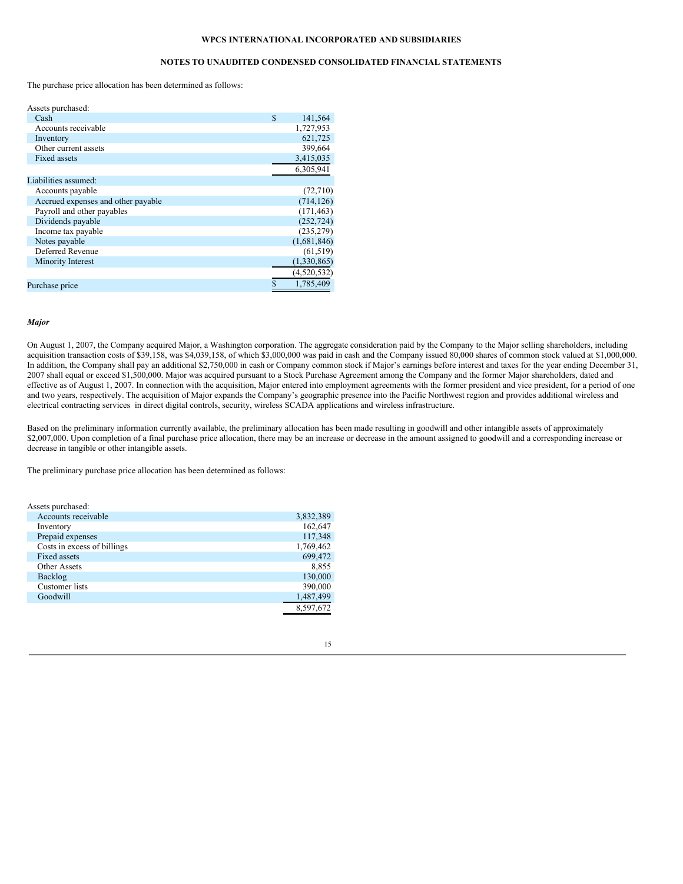# **NOTES TO UNAUDITED CONDENSED CONSOLIDATED FINANCIAL STATEMENTS**

The purchase price allocation has been determined as follows:

| Assets purchased:                  |               |             |
|------------------------------------|---------------|-------------|
| Cash                               | $\mathcal{S}$ | 141,564     |
| Accounts receivable                |               | 1,727,953   |
| Inventory                          |               | 621,725     |
| Other current assets               |               | 399,664     |
| Fixed assets                       |               | 3,415,035   |
|                                    |               | 6,305,941   |
| Liabilities assumed:               |               |             |
| Accounts payable                   |               | (72, 710)   |
| Accrued expenses and other payable |               | (714, 126)  |
| Payroll and other payables         |               | (171, 463)  |
| Dividends payable                  |               | (252, 724)  |
| Income tax payable                 |               | (235, 279)  |
| Notes payable                      |               | (1,681,846) |
| Deferred Revenue                   |               | (61, 519)   |
| Minority Interest                  |               | (1,330,865) |
|                                    |               | (4,520,532) |
| Purchase price                     |               | 1,785,409   |

### *Major*

On August 1, 2007, the Company acquired Major, a Washington corporation. The aggregate consideration paid by the Company to the Major selling shareholders, including acquisition transaction costs of \$39,158, was \$4,039,158, of which \$3,000,000 was paid in cash and the Company issued 80,000 shares of common stock valued at \$1,000,000. In addition, the Company shall pay an additional \$2,750,000 in cash or Company common stock if Major's earnings before interest and taxes for the year ending December 31, 2007 shall equal or exceed \$1,500,000. Major was acquired pursuant to a Stock Purchase Agreement among the Company and the former Major shareholders, dated and effective as of August 1, 2007. In connection with the acquisition, Major entered into employment agreements with the former president and vice president, for a period of one and two years, respectively. The acquisition of Major expands the Company's geographic presence into the Pacific Northwest region and provides additional wireless and electrical contracting services in direct digital controls, security, wireless SCADA applications and wireless infrastructure.

Based on the preliminary information currently available, the preliminary allocation has been made resulting in goodwill and other intangible assets of approximately \$2,007,000. Upon completion of a final purchase price allocation, there may be an increase or decrease in the amount assigned to goodwill and a corresponding increase or decrease in tangible or other intangible assets.

15

The preliminary purchase price allocation has been determined as follows:

| Assets purchased:           |           |
|-----------------------------|-----------|
| Accounts receivable         | 3,832,389 |
| Inventory                   | 162,647   |
| Prepaid expenses            | 117,348   |
| Costs in excess of billings | 1,769,462 |
| Fixed assets                | 699,472   |
| Other Assets                | 8,855     |
| Backlog                     | 130,000   |
| Customer lists              | 390,000   |
| Goodwill                    | 1,487,499 |
|                             | 8,597,672 |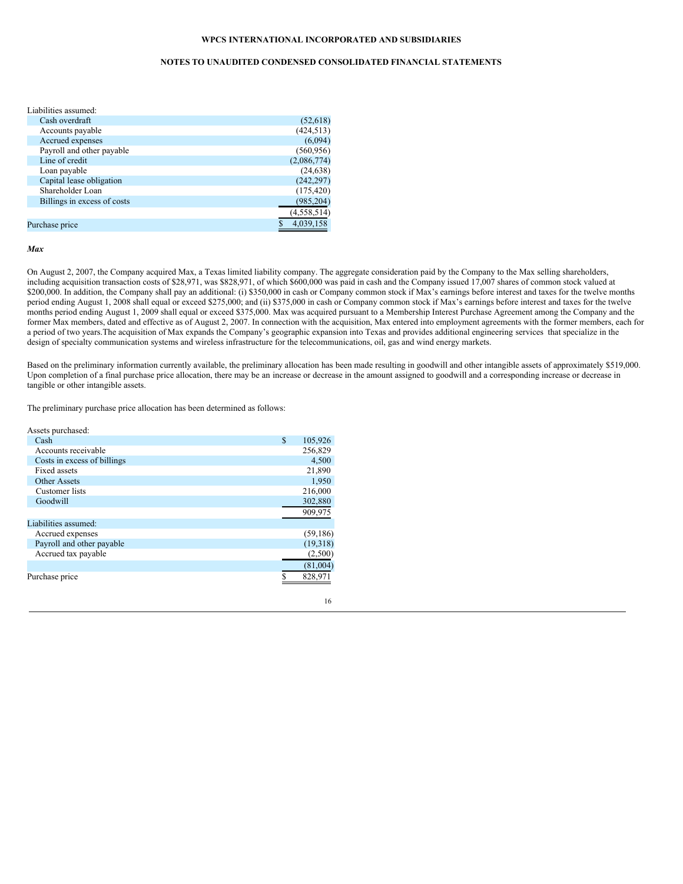# **NOTES TO UNAUDITED CONDENSED CONSOLIDATED FINANCIAL STATEMENTS**

| Liabilities assumed:        |               |
|-----------------------------|---------------|
| Cash overdraft              | (52, 618)     |
| Accounts payable            | (424, 513)    |
| Accrued expenses            | (6,094)       |
| Payroll and other payable   | (560, 956)    |
| Line of credit              | (2,086,774)   |
| Loan payable                | (24, 638)     |
| Capital lease obligation    | (242, 297)    |
| Shareholder Loan            | (175, 420)    |
| Billings in excess of costs | (985, 204)    |
|                             | (4, 558, 514) |
| Purchase price              | 4,039,158     |

#### *Max*

On August 2, 2007, the Company acquired Max, a Texas limited liability company. The aggregate consideration paid by the Company to the Max selling shareholders, including acquisition transaction costs of \$28,971, was \$828,971, of which \$600,000 was paid in cash and the Company issued 17,007 shares of common stock valued at \$200,000. In addition, the Company shall pay an additional: (i) \$350,000 in cash or Company common stock if Max's earnings before interest and taxes for the twelve months period ending August 1, 2008 shall equal or exceed \$275,000; and (ii) \$375,000 in cash or Company common stock if Max's earnings before interest and taxes for the twelve months period ending August 1, 2009 shall equal or exceed \$375,000. Max was acquired pursuant to a Membership Interest Purchase Agreement among the Company and the former Max members, dated and effective as of August 2, 2007. In connection with the acquisition, Max entered into employment agreements with the former members, each for a period of two years.The acquisition of Max expands the Company's geographic expansion into Texas and provides additional engineering services that specialize in the design of specialty communication systems and wireless infrastructure for the telecommunications, oil, gas and wind energy markets.

Based on the preliminary information currently available, the preliminary allocation has been made resulting in goodwill and other intangible assets of approximately \$519,000. Upon completion of a final purchase price allocation, there may be an increase or decrease in the amount assigned to goodwill and a corresponding increase or decrease in tangible or other intangible assets.

The preliminary purchase price allocation has been determined as follows:

| Assets purchased:           |               |         |
|-----------------------------|---------------|---------|
| Cash                        | \$<br>105,926 |         |
| Accounts receivable         | 256,829       |         |
| Costs in excess of billings |               | 4,500   |
| Fixed assets                | 21,890        |         |
| <b>Other Assets</b>         |               | 1,950   |
| Customer lists              | 216,000       |         |
| Goodwill                    | 302,880       |         |
|                             | 909,975       |         |
| Liabilities assumed:        |               |         |
| Accrued expenses            | (59, 186)     |         |
| Payroll and other payable   | (19,318)      |         |
| Accrued tax payable         |               | (2,500) |
|                             | (81,004)      |         |
| Purchase price              | 828,971       |         |
|                             |               |         |
|                             |               | 16      |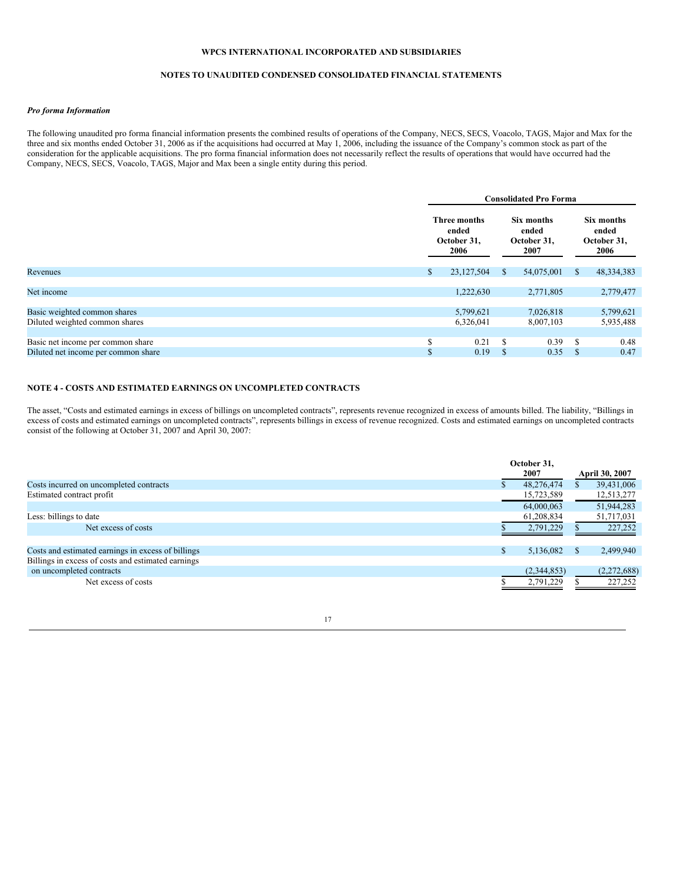# **NOTES TO UNAUDITED CONDENSED CONSOLIDATED FINANCIAL STATEMENTS**

# *Pro forma Information*

The following unaudited pro forma financial information presents the combined results of operations of the Company, NECS, SECS, Voacolo, TAGS, Major and Max for the three and six months ended October 31, 2006 as if the acquisitions had occurred at May 1, 2006, including the issuance of the Company's common stock as part of the consideration for the applicable acquisitions. The pro forma financial information does not necessarily reflect the results of operations that would have occurred had the Company, NECS, SECS, Voacolo, TAGS, Major and Max been a single entity during this period.

|                                                                |   |                                              |                                            | <b>Consolidated Pro Forma</b> |    |                                            |
|----------------------------------------------------------------|---|----------------------------------------------|--------------------------------------------|-------------------------------|----|--------------------------------------------|
|                                                                |   | Three months<br>ended<br>October 31,<br>2006 | Six months<br>ended<br>October 31,<br>2007 |                               |    | Six months<br>ended<br>October 31,<br>2006 |
| Revenues                                                       | S | 23,127,504                                   | S.                                         | 54,075,001                    | S. | 48, 334, 383                               |
| Net income                                                     |   | 1,222,630                                    |                                            | 2,771,805                     |    | 2,779,477                                  |
| Basic weighted common shares<br>Diluted weighted common shares |   | 5,799,621<br>6,326,041                       |                                            | 7,026,818<br>8,007,103        |    | 5,799,621<br>5,935,488                     |
| Basic net income per common share                              |   | 0.21                                         | £.                                         | 0.39                          | S  | 0.48                                       |
| Diluted net income per common share                            |   | 0.19                                         | S                                          | 0.35                          | S  | 0.47                                       |

# **NOTE 4 - COSTS AND ESTIMATED EARNINGS ON UNCOMPLETED CONTRACTS**

The asset, "Costs and estimated earnings in excess of billings on uncompleted contracts", represents revenue recognized in excess of amounts billed. The liability, "Billings in excess of costs and estimated earnings on uncompleted contracts", represents billings in excess of revenue recognized. Costs and estimated earnings on uncompleted contracts consist of the following at October 31, 2007 and April 30, 2007:

|                                                    |   | October 31, |    |                |
|----------------------------------------------------|---|-------------|----|----------------|
|                                                    |   | 2007        |    | April 30, 2007 |
| Costs incurred on uncompleted contracts            |   | 48,276,474  | Ъ. | 39,431,006     |
| Estimated contract profit                          |   | 15,723,589  |    | 12,513,277     |
|                                                    |   | 64,000,063  |    | 51,944,283     |
| Less: billings to date                             |   | 61,208,834  |    | 51,717,031     |
| Net excess of costs                                |   | 2,791,229   |    | 227,252        |
|                                                    |   |             |    |                |
| Costs and estimated earnings in excess of billings | S | 5,136,082   |    | 2,499,940      |
| Billings in excess of costs and estimated earnings |   |             |    |                |
| on uncompleted contracts                           |   | (2,344,853) |    | (2,272,688)    |
| Net excess of costs                                |   | 2,791,229   |    | 227,252        |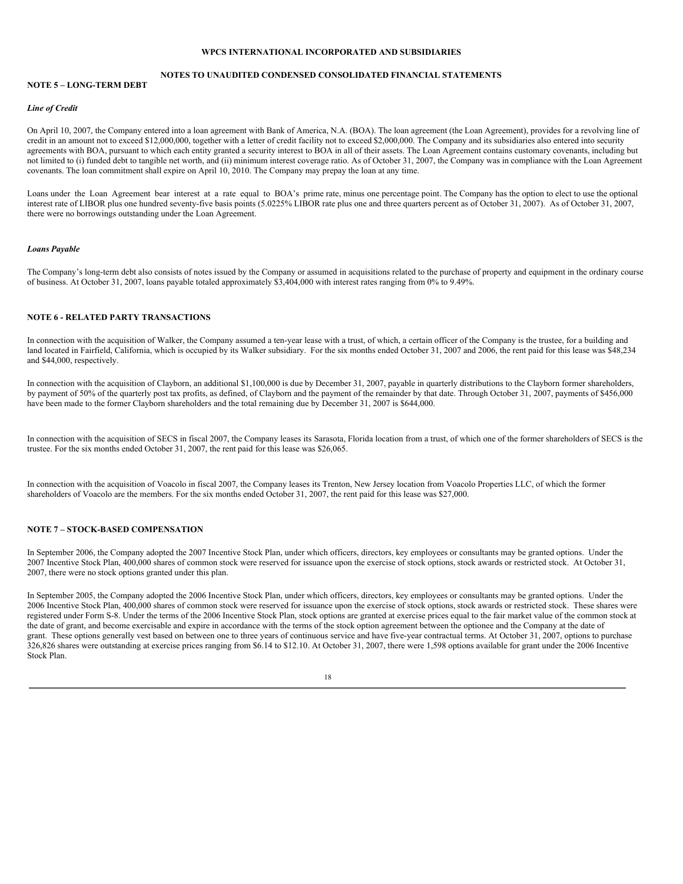# **NOTES TO UNAUDITED CONDENSED CONSOLIDATED FINANCIAL STATEMENTS**

# **NOTE 5 – LONG-TERM DEBT**

#### *Line of Credit*

On April 10, 2007, the Company entered into a loan agreement with Bank of America, N.A. (BOA). The loan agreement (the Loan Agreement), provides for a revolving line of credit in an amount not to exceed \$12,000,000, together with a letter of credit facility not to exceed \$2,000,000. The Company and its subsidiaries also entered into security agreements with BOA, pursuant to which each entity granted a security interest to BOA in all of their assets. The Loan Agreement contains customary covenants, including but not limited to (i) funded debt to tangible net worth, and (ii) minimum interest coverage ratio. As of October 31, 2007, the Company was in compliance with the Loan Agreement covenants. The loan commitment shall expire on April 10, 2010. The Company may prepay the loan at any time.

Loans under the Loan Agreement bear interest at a rate equal to BOA's prime rate, minus one percentage point. The Company has the option to elect to use the optional interest rate of LIBOR plus one hundred seventy-five basis points (5.0225% LIBOR rate plus one and three quarters percent as of October 31, 2007). As of October 31, 2007, there were no borrowings outstanding under the Loan Agreement.

#### *Loans Payable*

The Company's long-term debt also consists of notes issued by the Company or assumed in acquisitions related to the purchase of property and equipment in the ordinary course of business. At October 31, 2007, loans payable totaled approximately \$3,404,000 with interest rates ranging from 0% to 9.49%.

# **NOTE 6 - RELATED PARTY TRANSACTIONS**

In connection with the acquisition of Walker, the Company assumed a ten-year lease with a trust, of which, a certain officer of the Company is the trustee, for a building and land located in Fairfield, California, which is occupied by its Walker subsidiary. For the six months ended October 31, 2007 and 2006, the rent paid for this lease was \$48,234 and \$44,000, respectively.

In connection with the acquisition of Clayborn, an additional \$1,100,000 is due by December 31, 2007, payable in quarterly distributions to the Clayborn former shareholders, by payment of 50% of the quarterly post tax profits, as defined, of Clayborn and the payment of the remainder by that date. Through October 31, 2007, payments of \$456,000 have been made to the former Clayborn shareholders and the total remaining due by December 31, 2007 is \$644,000.

In connection with the acquisition of SECS in fiscal 2007, the Company leases its Sarasota, Florida location from a trust, of which one of the former shareholders of SECS is the trustee. For the six months ended October 31, 2007, the rent paid for this lease was \$26,065.

In connection with the acquisition of Voacolo in fiscal 2007, the Company leases its Trenton, New Jersey location from Voacolo Properties LLC, of which the former shareholders of Voacolo are the members. For the six months ended October 31, 2007, the rent paid for this lease was \$27,000.

# **NOTE 7 – STOCK-BASED COMPENSATION**

In September 2006, the Company adopted the 2007 Incentive Stock Plan, under which officers, directors, key employees or consultants may be granted options. Under the 2007 Incentive Stock Plan, 400,000 shares of common stock were reserved for issuance upon the exercise of stock options, stock awards or restricted stock. At October 31, 2007, there were no stock options granted under this plan.

In September 2005, the Company adopted the 2006 Incentive Stock Plan, under which officers, directors, key employees or consultants may be granted options. Under the 2006 Incentive Stock Plan, 400,000 shares of common stock were reserved for issuance upon the exercise of stock options, stock awards or restricted stock. These shares were registered under Form S-8. Under the terms of the 2006 Incentive Stock Plan, stock options are granted at exercise prices equal to the fair market value of the common stock at the date of grant, and become exercisable and expire in accordance with the terms of the stock option agreement between the optionee and the Company at the date of grant. These options generally vest based on between one to three years of continuous service and have five-year contractual terms. At October 31, 2007, options to purchase 326,826 shares were outstanding at exercise prices ranging from \$6.14 to \$12.10. At October 31, 2007, there were 1,598 options available for grant under the 2006 Incentive Stock Plan.

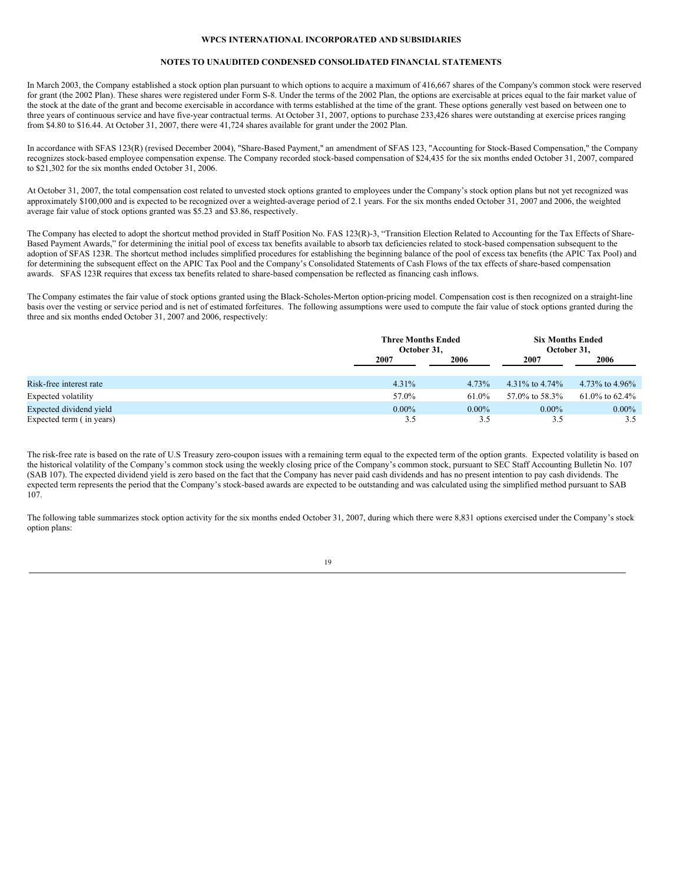### **NOTES TO UNAUDITED CONDENSED CONSOLIDATED FINANCIAL STATEMENTS**

In March 2003, the Company established a stock option plan pursuant to which options to acquire a maximum of 416,667 shares of the Company's common stock were reserved for grant (the 2002 Plan). These shares were registered under Form S-8. Under the terms of the 2002 Plan, the options are exercisable at prices equal to the fair market value of the stock at the date of the grant and become exercisable in accordance with terms established at the time of the grant. These options generally vest based on between one to three years of continuous service and have five-year contractual terms. At October 31, 2007, options to purchase 233,426 shares were outstanding at exercise prices ranging from \$4.80 to \$16.44. At October 31, 2007, there were 41,724 shares available for grant under the 2002 Plan.

In accordance with SFAS 123(R) (revised December 2004), "Share-Based Payment," an amendment of SFAS 123, "Accounting for Stock-Based Compensation," the Company recognizes stock-based employee compensation expense. The Company recorded stock-based compensation of \$24,435 for the six months ended October 31, 2007, compared to \$21,302 for the six months ended October 31, 2006.

At October 31, 2007, the total compensation cost related to unvested stock options granted to employees under the Company's stock option plans but not yet recognized was approximately \$100,000 and is expected to be recognized over a weighted-average period of 2.1 years. For the six months ended October 31, 2007 and 2006, the weighted average fair value of stock options granted was \$5.23 and \$3.86, respectively.

The Company has elected to adopt the shortcut method provided in Staff Position No. FAS 123(R)-3, "Transition Election Related to Accounting for the Tax Effects of Share-Based Payment Awards," for determining the initial pool of excess tax benefits available to absorb tax deficiencies related to stock-based compensation subsequent to the adoption of SFAS 123R. The shortcut method includes simplified procedures for establishing the beginning balance of the pool of excess tax benefits (the APIC Tax Pool) and for determining the subsequent effect on the APIC Tax Pool and the Company's Consolidated Statements of Cash Flows of the tax effects of share-based compensation awards. SFAS 123R requires that excess tax benefits related to share-based compensation be reflected as financing cash inflows.

The Company estimates the fair value of stock options granted using the Black-Scholes-Merton option-pricing model. Compensation cost is then recognized on a straight-line basis over the vesting or service period and is net of estimated forfeitures. The following assumptions were used to compute the fair value of stock options granted during the three and six months ended October 31, 2007 and 2006, respectively:

|                          | <b>Three Months Ended</b><br>October 31, |          | <b>Six Months Ended</b><br>October 31, |                      |
|--------------------------|------------------------------------------|----------|----------------------------------------|----------------------|
|                          | 2007                                     | 2006     | 2007                                   | 2006                 |
| Risk-free interest rate  | $4.31\%$                                 | 4.73%    | 4.31\% to 4.74\%                       | 4.73% to 4.96%       |
| Expected volatility      | 57.0%                                    | 61.0%    | 57.0% to 58.3%                         | $61.0\%$ to $62.4\%$ |
| Expected dividend yield  | $0.00\%$                                 | $0.00\%$ | $0.00\%$                               | $0.00\%$             |
| Expected term (in years) | 3.5                                      | 3.5      | 3.5                                    | 3.5                  |

The risk-free rate is based on the rate of U.S Treasury zero-coupon issues with a remaining term equal to the expected term of the option grants. Expected volatility is based on the historical volatility of the Company's common stock using the weekly closing price of the Company's common stock, pursuant to SEC Staff Accounting Bulletin No. 107 (SAB 107). The expected dividend yield is zero based on the fact that the Company has never paid cash dividends and has no present intention to pay cash dividends. The expected term represents the period that the Company's stock-based awards are expected to be outstanding and was calculated using the simplified method pursuant to SAB 107.

The following table summarizes stock option activity for the six months ended October 31, 2007, during which there were 8,831 options exercised under the Company's stock option plans:

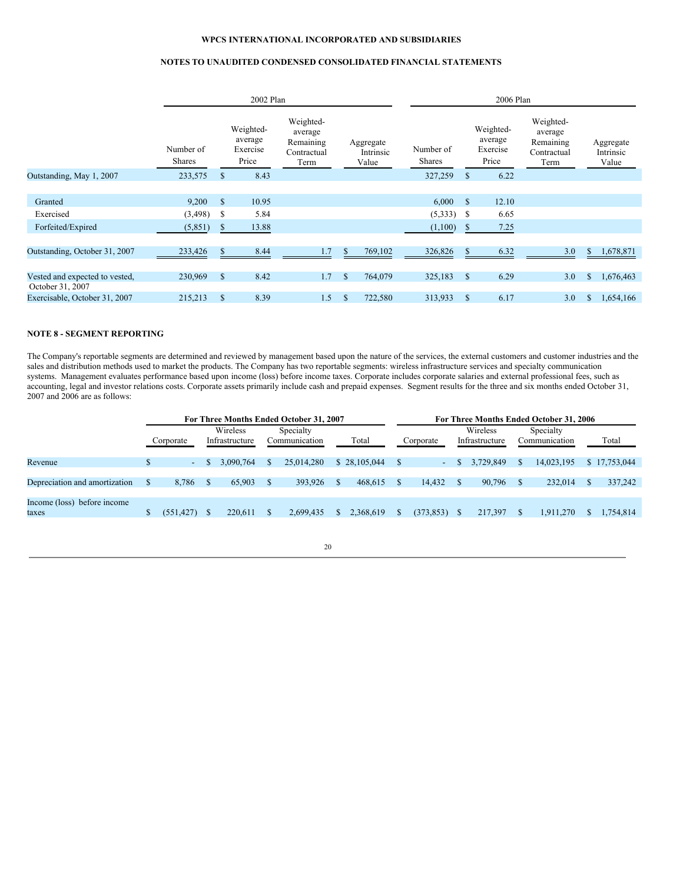# **NOTES TO UNAUDITED CONDENSED CONSOLIDATED FINANCIAL STATEMENTS**

|                                                    | 2002 Plan                  |              |                                           |                                                          |               |                                 |                            |               | 2006 Plan                                 |                                                          |             |                                 |  |  |  |
|----------------------------------------------------|----------------------------|--------------|-------------------------------------------|----------------------------------------------------------|---------------|---------------------------------|----------------------------|---------------|-------------------------------------------|----------------------------------------------------------|-------------|---------------------------------|--|--|--|
|                                                    | Number of<br><b>Shares</b> |              | Weighted-<br>average<br>Exercise<br>Price | Weighted-<br>average<br>Remaining<br>Contractual<br>Term |               | Aggregate<br>Intrinsic<br>Value | Number of<br><b>Shares</b> |               | Weighted-<br>average<br>Exercise<br>Price | Weighted-<br>average<br>Remaining<br>Contractual<br>Term |             | Aggregate<br>Intrinsic<br>Value |  |  |  |
| Outstanding, May 1, 2007                           | 233,575                    | $\mathbf S$  | 8.43                                      |                                                          |               |                                 | 327,259                    | $\mathbb{S}$  | 6.22                                      |                                                          |             |                                 |  |  |  |
|                                                    |                            |              |                                           |                                                          |               |                                 |                            |               |                                           |                                                          |             |                                 |  |  |  |
| Granted                                            | 9,200                      | <sup>S</sup> | 10.95                                     |                                                          |               |                                 | 6,000                      | <sup>\$</sup> | 12.10                                     |                                                          |             |                                 |  |  |  |
| Exercised                                          | (3,498)                    | - \$         | 5.84                                      |                                                          |               |                                 | (5,333)                    | -S            | 6.65                                      |                                                          |             |                                 |  |  |  |
| Forfeited/Expired                                  | (5,851)                    | <sup>S</sup> | 13.88                                     |                                                          |               |                                 | (1,100)                    | <sup>S</sup>  | 7.25                                      |                                                          |             |                                 |  |  |  |
|                                                    |                            |              |                                           |                                                          |               |                                 |                            |               |                                           |                                                          |             |                                 |  |  |  |
| Outstanding, October 31, 2007                      | 233,426                    | <sup>S</sup> | 8.44                                      | 1.7                                                      | <sup>\$</sup> | 769,102                         | 326,826                    | <sup>\$</sup> | 6.32                                      | 3.0                                                      | S           | 1,678,871                       |  |  |  |
|                                                    |                            |              |                                           |                                                          |               |                                 |                            |               |                                           |                                                          |             |                                 |  |  |  |
| Vested and expected to vested,<br>October 31, 2007 | 230,969                    | <sup>S</sup> | 8.42                                      | 1.7                                                      | <sup>\$</sup> | 764,079                         | 325,183                    | $\mathbb{S}$  | 6.29                                      | 3.0                                                      | $\mathbf S$ | 1,676,463                       |  |  |  |
| Exercisable, October 31, 2007                      | 215,213                    | $\mathbf S$  | 8.39                                      | 1.5                                                      | <sup>\$</sup> | 722,580                         | 313,933                    | $\mathbb{S}$  | 6.17                                      | 3.0                                                      | S           | 1,654,166                       |  |  |  |

## **NOTE 8 - SEGMENT REPORTING**

The Company's reportable segments are determined and reviewed by management based upon the nature of the services, the external customers and customer industries and the sales and distribution methods used to market the products. The Company has two reportable segments: wireless infrastructure services and specialty communication systems. Management evaluates performance based upon income (loss) before income taxes. Corporate includes corporate salaries and external professional fees, such as accounting, legal and investor relations costs. Corporate assets primarily include cash and prepaid expenses. Segment results for the three and six months ended October 31, 2007 and 2006 are as follows:

|                                      | For Three Months Ended October 31, 2007 |  |                            |  |                            |  |              |   | For Three Months Ended October 31, 2006 |  |                            |  |                            |  |              |  |  |
|--------------------------------------|-----------------------------------------|--|----------------------------|--|----------------------------|--|--------------|---|-----------------------------------------|--|----------------------------|--|----------------------------|--|--------------|--|--|
|                                      | Corporate                               |  | Wireless<br>Infrastructure |  | Specialty<br>Communication |  | Total        |   | Corporate                               |  | Wireless<br>Infrastructure |  | Specialty<br>Communication |  | Total        |  |  |
| Revenue                              | $\sim$                                  |  | 3.090.764                  |  | 25.014.280                 |  | \$28,105,044 |   | <b>Contract</b>                         |  | 3.729.849                  |  | 14,023,195                 |  | \$17,753,044 |  |  |
| Depreciation and amortization        | 8.786                                   |  | 65,903                     |  | 393,926                    |  | 468.615      |   | 14.432                                  |  | 90.796                     |  | 232,014                    |  | 337,242      |  |  |
| Income (loss) before income<br>taxes | (551, 427)                              |  | 220.611                    |  | 2.699.435                  |  | 2.368.619    | S | (373, 853)                              |  | 217,397                    |  | 1,911,270                  |  | 1,754,814    |  |  |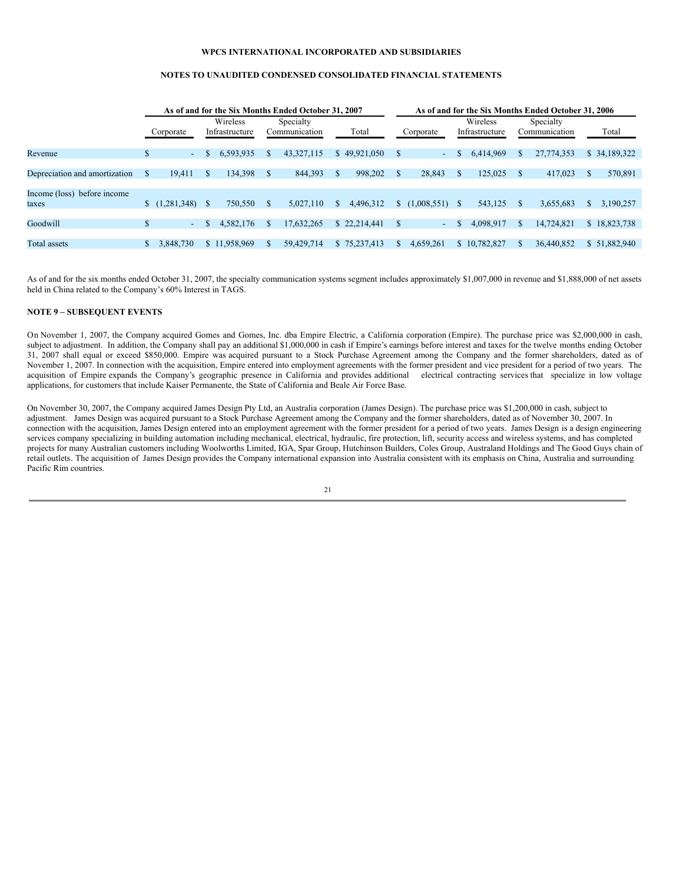# **NOTES TO UNAUDITED CONDENSED CONSOLIDATED FINANCIAL STATEMENTS**

|                                      |              | As of and for the Six Months Ended October 31, 2007 |   |                            |               |                            |               |              |    |                  | As of and for the Six Months Ended October 31, 2006 |                            |     |                            |    |              |  |  |
|--------------------------------------|--------------|-----------------------------------------------------|---|----------------------------|---------------|----------------------------|---------------|--------------|----|------------------|-----------------------------------------------------|----------------------------|-----|----------------------------|----|--------------|--|--|
|                                      |              | Corporate                                           |   | Wireless<br>Infrastructure |               | Specialty<br>Communication |               | Total        |    | Corporate        |                                                     | Wireless<br>Infrastructure |     | Specialty<br>Communication |    | Total        |  |  |
| Revenue                              | \$           | $\sim$                                              |   | 6.593.935                  | \$.           | 43.327.115                 |               | \$49,921,050 | S  | $\sim$           |                                                     | 6.414.969                  |     | 27,774,353                 |    | \$34,189,322 |  |  |
| Depreciation and amortization        | <sup>S</sup> | 19.411                                              | S | 134.398                    | \$.           | 844,393                    | <sup>\$</sup> | 998,202      | S. | 28.843           | <sup>\$</sup>                                       | 125,025                    | \$. | 417,023                    | \$ | 570,891      |  |  |
| Income (loss) before income<br>taxes |              | (1,281,348)                                         | S | 750,550                    | <sup>\$</sup> | 5.027.110                  | S             | 4.496.312    | S. | $(1,008,551)$ \$ |                                                     | 543.125                    | S   | 3.655.683                  | S. | 3,190,257    |  |  |
| Goodwill                             | \$           | $\sim$                                              |   | 4.582.176                  | \$            | 17.632.265                 |               | \$22,214,441 | S  | $\sim$           |                                                     | 4.098.917                  |     | 14,724,821                 |    | \$18,823,738 |  |  |
| Total assets                         |              | 3.848.730                                           |   | \$11,958,969               | \$.           | 59.429.714                 |               | \$75,237,413 | S. | 4.659.261        |                                                     | \$10,782,827               |     | 36,440,852                 |    | \$51,882,940 |  |  |

As of and for the six months ended October 31, 2007, the specialty communication systems segment includes approximately \$1,007,000 in revenue and \$1,888,000 of net assets held in China related to the Company's 60% Interest in TAGS.

#### **NOTE 9 – SUBSEQUENT EVENTS**

On November 1, 2007, the Company acquired Gomes and Gomes, Inc. dba Empire Electric, a California corporation (Empire). The purchase price was \$2,000,000 in cash, subject to adjustment. In addition, the Company shall pay an additional \$1,000,000 in cash if Empire's earnings before interest and taxes for the twelve months ending October 31, 2007 shall equal or exceed \$850,000. Empire was acquired pursuant to a Stock Purchase Agreement among the Company and the former shareholders, dated as of November 1, 2007. In connection with the acquisition, Empire entered into employment agreements with the former president and vice president for a period of two years. The acquisition of Empire expands the Company's geographic presence in California and provides additional electrical contracting services that specialize in low voltage applications, for customers that include Kaiser Permanente, the State of California and Beale Air Force Base.

On November 30, 2007, the Company acquired James Design Pty Ltd, an Australia corporation (James Design). The purchase price was \$1,200,000 in cash, subject to adjustment. James Design was acquired pursuant to a Stock Purchase Agreement among the Company and the former shareholders, dated as of November 30, 2007. In connection with the acquisition, James Design entered into an employment agreement with the former president for a period of two years. James Design is a design engineering services company specializing in building automation including mechanical, electrical, hydraulic, fire protection, lift, security access and wireless systems, and has completed projects for many Australian customers including Woolworths Limited, IGA, Spar Group, Hutchinson Builders, Coles Group, Australand Holdings and The Good Guys chain of retail outlets. The acquisition of James Design provides the Company international expansion into Australia consistent with its emphasis on China, Australia and surrounding Pacific Rim countries.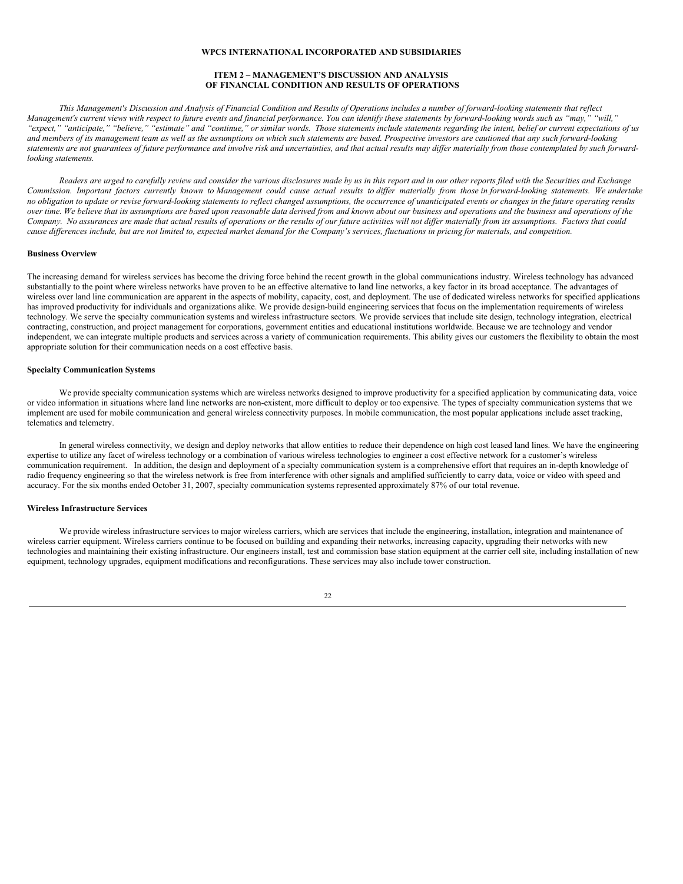### **ITEM 2 – MANAGEMENT'S DISCUSSION AND ANALYSIS OF FINANCIAL CONDITION AND RESULTS OF OPERATIONS**

This Management's Discussion and Analysis of Financial Condition and Results of Operations includes a number of forward-looking statements that reflect<br>nent's current views with respect to future events and financial perfo Management's current views with respect to future events and financial performance. You can identify these statements by forward-looking words such as "may," "expect," "anticipate," "believe," "estimate" and "continue," or similar words. Those statements include statements regarding the intent, belief or current expectations of us and members of its management team as well as the assumptions on which such statements are based. Prospective investors are cautioned that any such forward-looking statements are not guarantees of future performance and involve risk and uncertainties, and that actual results may differ materially from those contemplated by such forward*looking statements.*

Readers are urged to carefully review and consider the various disclosures made by us in this report and in our other reports filed with the Securities and Exchange Commission. Important factors currently known to Management could cause actual results to differ materially from those in forward-looking statements. We undertake no obligation to update or revise forward-looking statements to reflect changed assumptions, the occurrence of unanticipated events or changes in the future operating results over time. We believe that its assumptions are based upon reasonable data derived from and known about our business and operations and the business and operations of the Company. No assurances are made that actual results of operations or the results of our future activities will not differ materially from its assumptions. Factors that could cause differences include, but are not limited to, expected market demand for the Company's services, fluctuations in pricing for materials, and competition.

### **Business Overview**

The increasing demand for wireless services has become the driving force behind the recent growth in the global communications industry. Wireless technology has advanced substantially to the point where wireless networks have proven to be an effective alternative to land line networks, a key factor in its broad acceptance. The advantages of wireless over land line communication are apparent in the aspects of mobility, capacity, cost, and deployment. The use of dedicated wireless networks for specified applications has improved productivity for individuals and organizations alike. We provide design-build engineering services that focus on the implementation requirements of wireless technology. We serve the specialty communication systems and wireless infrastructure sectors. We provide services that include site design, technology integration, electrical contracting, construction, and project management for corporations, government entities and educational institutions worldwide. Because we are technology and vendor independent, we can integrate multiple products and services across a variety of communication requirements. This ability gives our customers the flexibility to obtain the most appropriate solution for their communication needs on a cost effective basis.

### **Specialty Communication Systems**

We provide specialty communication systems which are wireless networks designed to improve productivity for a specified application by communicating data, voice or video information in situations where land line networks are non-existent, more difficult to deploy or too expensive. The types of specialty communication systems that we implement are used for mobile communication and general wireless connectivity purposes. In mobile communication, the most popular applications include asset tracking, telematics and telemetry.

In general wireless connectivity, we design and deploy networks that allow entities to reduce their dependence on high cost leased land lines. We have the engineering expertise to utilize any facet of wireless technology or a combination of various wireless technologies to engineer a cost effective network for a customer's wireless communication requirement. In addition, the design and deployment of a specialty communication system is a comprehensive effort that requires an in-depth knowledge of radio frequency engineering so that the wireless network is free from interference with other signals and amplified sufficiently to carry data, voice or video with speed and accuracy. For the six months ended October 31, 2007, specialty communication systems represented approximately 87% of our total revenue.

#### **Wireless Infrastructure Services**

We provide wireless infrastructure services to major wireless carriers, which are services that include the engineering, installation, integration and maintenance of wireless carrier equipment. Wireless carriers continue to be focused on building and expanding their networks, increasing capacity, upgrading their networks with new technologies and maintaining their existing infrastructure. Our engineers install, test and commission base station equipment at the carrier cell site, including installation of new equipment, technology upgrades, equipment modifications and reconfigurations. These services may also include tower construction.

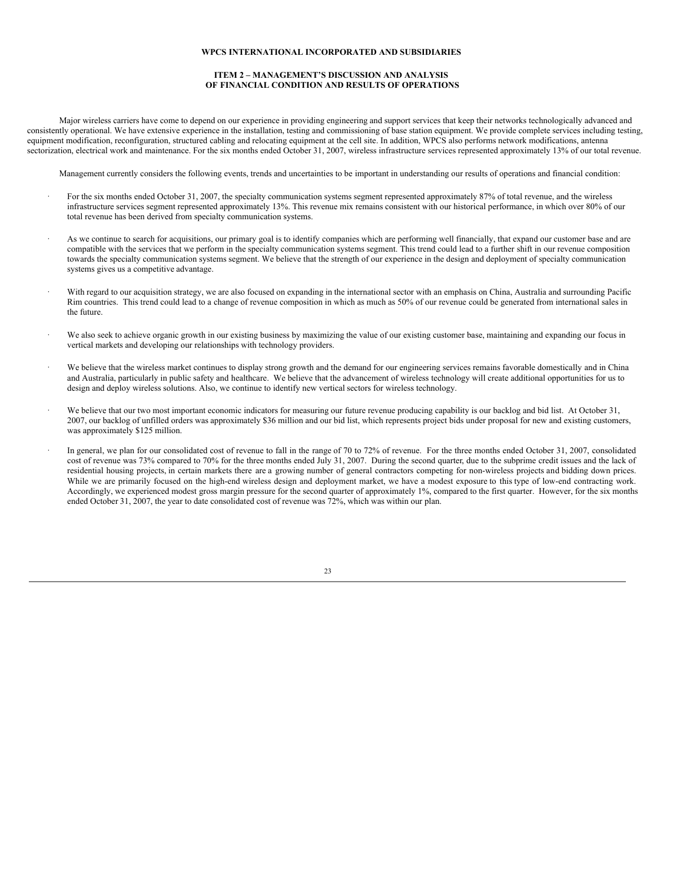## **ITEM 2 – MANAGEMENT'S DISCUSSION AND ANALYSIS OF FINANCIAL CONDITION AND RESULTS OF OPERATIONS**

Major wireless carriers have come to depend on our experience in providing engineering and support services that keep their networks technologically advanced and consistently operational. We have extensive experience in the installation, testing and commissioning of base station equipment. We provide complete services including testing, equipment modification, reconfiguration, structured cabling and relocating equipment at the cell site. In addition, WPCS also performs network modifications, antenna sectorization, electrical work and maintenance. For the six months ended October 31, 2007, wireless infrastructure services represented approximately 13% of our total revenue.

Management currently considers the following events, trends and uncertainties to be important in understanding our results of operations and financial condition:

- For the six months ended October 31, 2007, the specialty communication systems segment represented approximately 87% of total revenue, and the wireless infrastructure services segment represented approximately 13%. This revenue mix remains consistent with our historical performance, in which over 80% of our total revenue has been derived from specialty communication systems.
- As we continue to search for acquisitions, our primary goal is to identify companies which are performing well financially, that expand our customer base and are compatible with the services that we perform in the specialty communication systems segment. This trend could lead to a further shift in our revenue composition towards the specialty communication systems segment. We believe that the strength of our experience in the design and deployment of specialty communication systems gives us a competitive advantage.
- With regard to our acquisition strategy, we are also focused on expanding in the international sector with an emphasis on China, Australia and surrounding Pacific Rim countries. This trend could lead to a change of revenue composition in which as much as 50% of our revenue could be generated from international sales in the future.
- We also seek to achieve organic growth in our existing business by maximizing the value of our existing customer base, maintaining and expanding our focus in vertical markets and developing our relationships with technology providers.
- We believe that the wireless market continues to display strong growth and the demand for our engineering services remains favorable domestically and in China and Australia, particularly in public safety and healthcare. We believe that the advancement of wireless technology will create additional opportunities for us to design and deploy wireless solutions. Also, we continue to identify new vertical sectors for wireless technology.
- We believe that our two most important economic indicators for measuring our future revenue producing capability is our backlog and bid list. At October 31, 2007, our backlog of unfilled orders was approximately \$36 million and our bid list, which represents project bids under proposal for new and existing customers, was approximately \$125 million.
- In general, we plan for our consolidated cost of revenue to fall in the range of 70 to 72% of revenue. For the three months ended October 31, 2007, consolidated cost of revenue was 73% compared to 70% for the three months ended July 31, 2007. During the second quarter, due to the subprime credit issues and the lack of residential housing projects, in certain markets there are a growing number of general contractors competing for non-wireless projects and bidding down prices. While we are primarily focused on the high-end wireless design and deployment market, we have a modest exposure to this type of low-end contracting work. Accordingly, we experienced modest gross margin pressure for the second quarter of approximately 1%, compared to the first quarter. However, for the six months ended October 31, 2007, the year to date consolidated cost of revenue was 72%, which was within our plan.

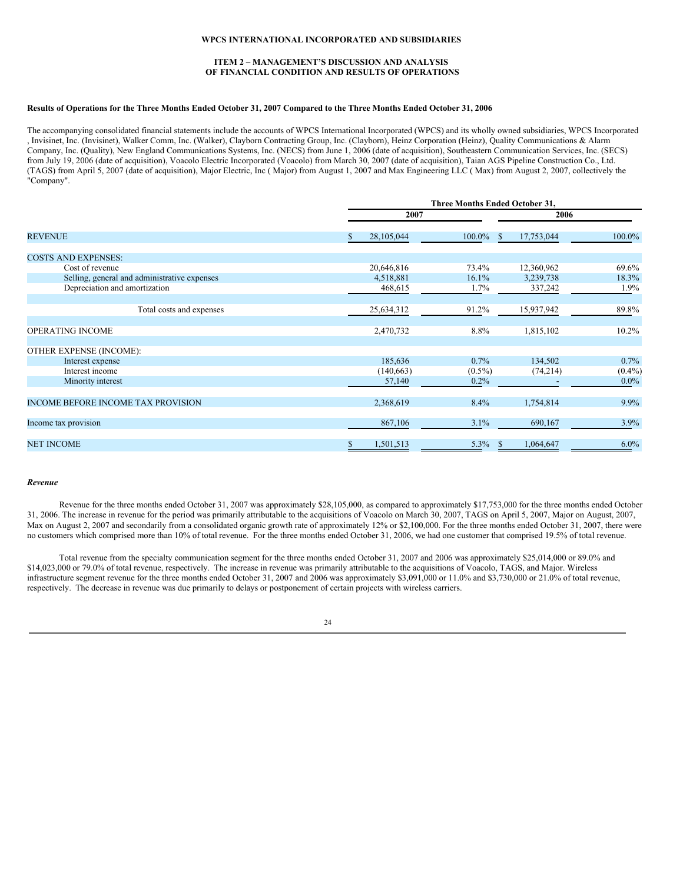# **ITEM 2 – MANAGEMENT'S DISCUSSION AND ANALYSIS OF FINANCIAL CONDITION AND RESULTS OF OPERATIONS**

## Results of Operations for the Three Months Ended October 31, 2007 Compared to the Three Months Ended October 31, 2006

The accompanying consolidated financial statements include the accounts of WPCS International Incorporated (WPCS) and its wholly owned subsidiaries, WPCS Incorporated , Invisinet, Inc. (Invisinet), Walker Comm, Inc. (Walker), Clayborn Contracting Group, Inc. (Clayborn), Heinz Corporation (Heinz), Quality Communications & Alarm Company, Inc. (Quality), New England Communications Systems, Inc. (NECS) from June 1, 2006 (date of acquisition), Southeastern Communication Services, Inc. (SECS) from July 19, 2006 (date of acquisition), Voacolo Electric Incorporated (Voacolo) from March 30, 2007 (date of acquisition), Taian AGS Pipeline Construction Co., Ltd. (TAGS) from April 5, 2007 (date of acquisition), Major Electric, Inc ( Major) from August 1, 2007 and Max Engineering LLC ( Max) from August 2, 2007, collectively the "Company".

|                                              | <b>Three Months Ended October 31.</b> |                         |            |           |  |  |  |  |  |
|----------------------------------------------|---------------------------------------|-------------------------|------------|-----------|--|--|--|--|--|
|                                              | 2007                                  |                         | 2006       |           |  |  |  |  |  |
| <b>REVENUE</b>                               | 28,105,044                            | 100.0%<br><sup>\$</sup> | 17,753,044 | 100.0%    |  |  |  |  |  |
| <b>COSTS AND EXPENSES:</b>                   |                                       |                         |            |           |  |  |  |  |  |
| Cost of revenue                              | 20,646,816                            | 73.4%                   | 12,360,962 | 69.6%     |  |  |  |  |  |
| Selling, general and administrative expenses | 4,518,881                             | $16.1\%$                | 3,239,738  | 18.3%     |  |  |  |  |  |
| Depreciation and amortization                | 468,615                               | $1.7\%$                 | 337,242    | 1.9%      |  |  |  |  |  |
| Total costs and expenses                     | 25,634,312                            | 91.2%                   | 15,937,942 | 89.8%     |  |  |  |  |  |
| OPERATING INCOME                             | 2,470,732                             | 8.8%                    | 1,815,102  | 10.2%     |  |  |  |  |  |
| OTHER EXPENSE (INCOME):                      |                                       |                         |            |           |  |  |  |  |  |
| Interest expense                             | 185,636                               | $0.7\%$                 | 134,502    | 0.7%      |  |  |  |  |  |
| Interest income                              | (140, 663)                            | $(0.5\%)$               | (74,214)   | $(0.4\%)$ |  |  |  |  |  |
| Minority interest                            | 57,140                                | $0.2\%$                 |            | $0.0\%$   |  |  |  |  |  |
| INCOME BEFORE INCOME TAX PROVISION           | 2,368,619                             | 8.4%                    | 1,754,814  | $9.9\%$   |  |  |  |  |  |
| Income tax provision                         | 867,106                               | $3.1\%$                 | 690,167    | 3.9%      |  |  |  |  |  |
| <b>NET INCOME</b>                            | 1,501,513                             | $5.3\%$<br>-S           | 1,064,647  | $6.0\%$   |  |  |  |  |  |

#### *Revenue*

Revenue for the three months ended October 31, 2007 was approximately \$28,105,000, as compared to approximately \$17,753,000 for the three months ended October 31, 2006. The increase in revenue for the period was primarily attributable to the acquisitions of Voacolo on March 30, 2007, TAGS on April 5, 2007, Major on August, 2007, Max on August 2, 2007 and secondarily from a consolidated organic growth rate of approximately 12% or \$2,100,000. For the three months ended October 31, 2007, there were no customers which comprised more than 10% of total revenue. For the three months ended October 31, 2006, we had one customer that comprised 19.5% of total revenue.

Total revenue from the specialty communication segment for the three months ended October 31, 2007 and 2006 was approximately \$25,014,000 or 89.0% and \$14,023,000 or 79.0% of total revenue, respectively. The increase in revenue was primarily attributable to the acquisitions of Voacolo, TAGS, and Major. Wireless infrastructure segment revenue for the three months ended October 31, 2007 and 2006 was approximately \$3,091,000 or 11.0% and \$3,730,000 or 21.0% of total revenue, respectively. The decrease in revenue was due primarily to delays or postponement of certain projects with wireless carriers.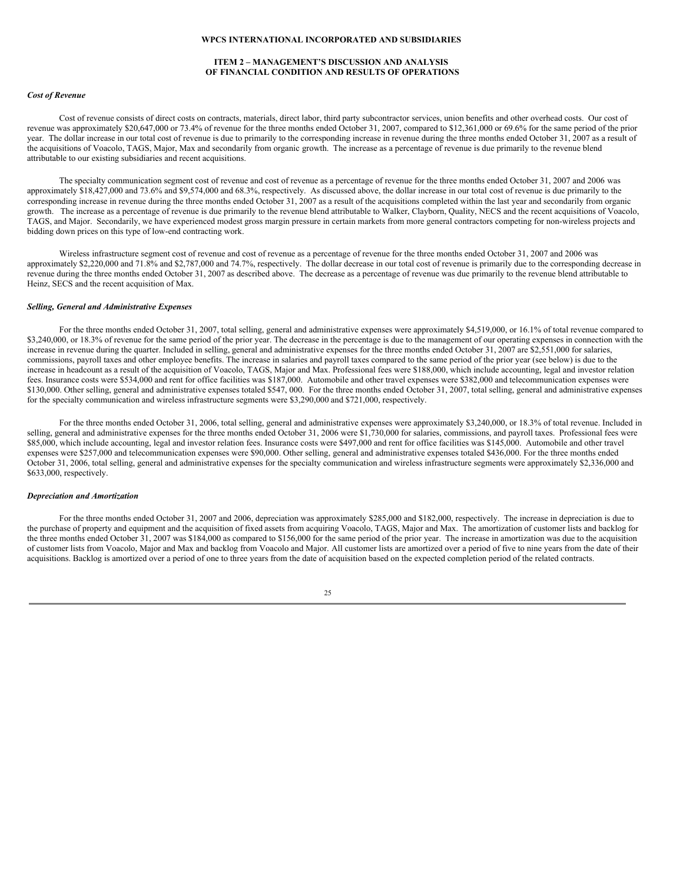### **ITEM 2 – MANAGEMENT'S DISCUSSION AND ANALYSIS OF FINANCIAL CONDITION AND RESULTS OF OPERATIONS**

# *Cost of Revenue*

Cost of revenue consists of direct costs on contracts, materials, direct labor, third party subcontractor services, union benefits and other overhead costs. Our cost of revenue was approximately \$20,647,000 or 73.4% of revenue for the three months ended October 31, 2007, compared to \$12,361,000 or 69.6% for the same period of the prior year. The dollar increase in our total cost of revenue is due to primarily to the corresponding increase in revenue during the three months ended October 31, 2007 as a result of the acquisitions of Voacolo, TAGS, Major, Max and secondarily from organic growth. The increase as a percentage of revenue is due primarily to the revenue blend attributable to our existing subsidiaries and recent acquisitions.

The specialty communication segment cost of revenue and cost of revenue as a percentage of revenue for the three months ended October 31, 2007 and 2006 was approximately \$18,427,000 and 73.6% and \$9,574,000 and 68.3%, respectively. As discussed above, the dollar increase in our total cost of revenue is due primarily to the corresponding increase in revenue during the three months ended October 31, 2007 as a result of the acquisitions completed within the last year and secondarily from organic growth. The increase as a percentage of revenue is due primarily to the revenue blend attributable to Walker, Clayborn, Quality, NECS and the recent acquisitions of Voacolo, TAGS, and Major. Secondarily, we have experienced modest gross margin pressure in certain markets from more general contractors competing for non-wireless projects and bidding down prices on this type of low-end contracting work.

Wireless infrastructure segment cost of revenue and cost of revenue as a percentage of revenue for the three months ended October 31, 2007 and 2006 was approximately \$2,220,000 and 71.8% and \$2,787,000 and 74.7%, respectively. The dollar decrease in our total cost of revenue is primarily due to the corresponding decrease in revenue during the three months ended October 31, 2007 as described above. The decrease as a percentage of revenue was due primarily to the revenue blend attributable to Heinz, SECS and the recent acquisition of Max.

#### *Selling, General and Administrative Expenses*

For the three months ended October 31, 2007, total selling, general and administrative expenses were approximately \$4,519,000, or 16.1% of total revenue compared to \$3,240,000, or 18.3% of revenue for the same period of the prior year. The decrease in the percentage is due to the management of our operating expenses in connection with the increase in revenue during the quarter. Included in selling, general and administrative expenses for the three months ended October 31, 2007 are \$2,551,000 for salaries, commissions, payroll taxes and other employee benefits. The increase in salaries and payroll taxes compared to the same period of the prior year (see below) is due to the increase in headcount as a result of the acquisition of Voacolo, TAGS, Major and Max. Professional fees were \$188,000, which include accounting, legal and investor relation fees. Insurance costs were \$534,000 and rent for office facilities was \$187,000. Automobile and other travel expenses were \$382,000 and telecommunication expenses were \$130,000. Other selling, general and administrative expenses totaled \$547,000. For the three months ended October 31, 2007, total selling, general and administrative expenses for the specialty communication and wireless infrastructure segments were \$3,290,000 and \$721,000, respectively.

For the three months ended October 31, 2006, total selling, general and administrative expenses were approximately \$3,240,000, or 18.3% of total revenue. Included in selling, general and administrative expenses for the three months ended October 31, 2006 were \$1,730,000 for salaries, commissions, and payroll taxes. Professional fees were \$85,000, which include accounting, legal and investor relation fees. Insurance costs were \$497,000 and rent for office facilities was \$145,000. Automobile and other travel expenses were \$257,000 and telecommunication expenses were \$90,000. Other selling, general and administrative expenses totaled \$436,000. For the three months ended October 31, 2006, total selling, general and administrative expenses for the specialty communication and wireless infrastructure segments were approximately \$2,336,000 and \$633,000, respectively.

## *Depreciation and Amortization*

For the three months ended October 31, 2007 and 2006, depreciation was approximately \$285,000 and \$182,000, respectively. The increase in depreciation is due to the purchase of property and equipment and the acquisition of fixed assets from acquiring Voacolo, TAGS, Major and Max. The amortization of customer lists and backlog for the three months ended October 31, 2007 was \$184,000 as compared to \$156,000 for the same period of the prior year. The increase in amortization was due to the acquisition of customer lists from Voacolo, Major and Max and backlog from Voacolo and Major. All customer lists are amortized over a period of five to nine years from the date of their acquisitions. Backlog is amortized over a period of one to three years from the date of acquisition based on the expected completion period of the related contracts.

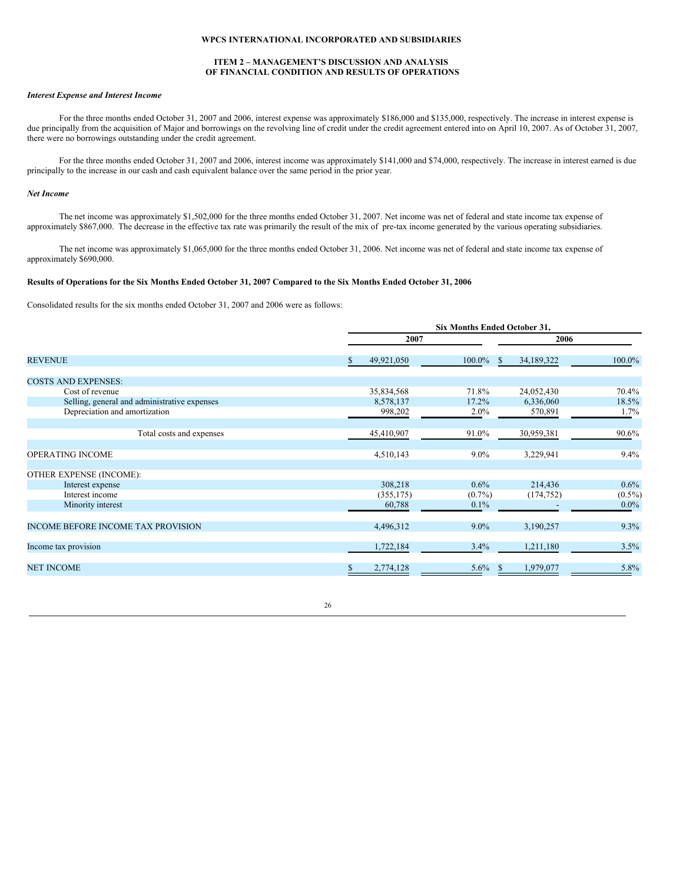# **ITEM 2 – MANAGEMENT'S DISCUSSION AND ANALYSIS OF FINANCIAL CONDITION AND RESULTS OF OPERATIONS**

#### *Interest Expense and Interest Income*

For the three months ended October 31, 2007 and 2006, interest expense was approximately \$186,000 and \$135,000, respectively. The increase in interest expense is due principally from the acquisition of Major and borrowings on the revolving line of credit under the credit agreement entered into on April 10, 2007. As of October 31, 2007, there were no borrowings outstanding under the credit agreement.

For the three months ended October 31, 2007 and 2006, interest income was approximately \$141,000 and \$74,000, respectively. The increase in interest earned is due principally to the increase in our cash and cash equivalent balance over the same period in the prior year.

#### *Net Income*

The net income was approximately \$1,502,000 for the three months ended October 31, 2007. Net income was net of federal and state income tax expense of approximately \$867,000. The decrease in the effective tax rate was primarily the result of the mix of pre-tax income generated by the various operating subsidiaries.

The net income was approximately \$1,065,000 for the three months ended October 31, 2006. Net income was net of federal and state income tax expense of approximately \$690,000.

#### Results of Operations for the Six Months Ended October 31, 2007 Compared to the Six Months Ended October 31, 2006

Consolidated results for the six months ended October 31, 2007 and 2006 were as follows:

|                                              | Six Months Ended October 31, |              |            |           |
|----------------------------------------------|------------------------------|--------------|------------|-----------|
|                                              | 2007                         |              | 2006       |           |
| <b>REVENUE</b>                               | 49,921,050                   | 100.0%<br>-S | 34,189,322 | 100.0%    |
| <b>COSTS AND EXPENSES:</b>                   |                              |              |            |           |
| Cost of revenue                              | 35,834,568                   | 71.8%        | 24,052,430 | 70.4%     |
| Selling, general and administrative expenses | 8,578,137                    | $17.2\%$     | 6,336,060  | 18.5%     |
| Depreciation and amortization                | 998,202                      | $2.0\%$      | 570,891    | $1.7\%$   |
| Total costs and expenses                     | 45,410,907                   | 91.0%        | 30,959,381 | 90.6%     |
| <b>OPERATING INCOME</b>                      | 4,510,143                    | $9.0\%$      | 3,229,941  | 9.4%      |
| OTHER EXPENSE (INCOME):                      |                              |              |            |           |
| Interest expense                             | 308,218                      | $0.6\%$      | 214,436    | $0.6\%$   |
| Interest income                              | (355, 175)                   | $(0.7\%)$    | (174, 752) | $(0.5\%)$ |
| Minority interest                            | 60,788                       | 0.1%         |            | $0.0\%$   |
| INCOME BEFORE INCOME TAX PROVISION           | 4,496,312                    | $9.0\%$      | 3,190,257  | 9.3%      |
| Income tax provision                         | 1,722,184                    | $3.4\%$      | 1,211,180  | 3.5%      |
| <b>NET INCOME</b>                            | 2,774,128                    | $5.6\%$      | 1,979,077  | 5.8%      |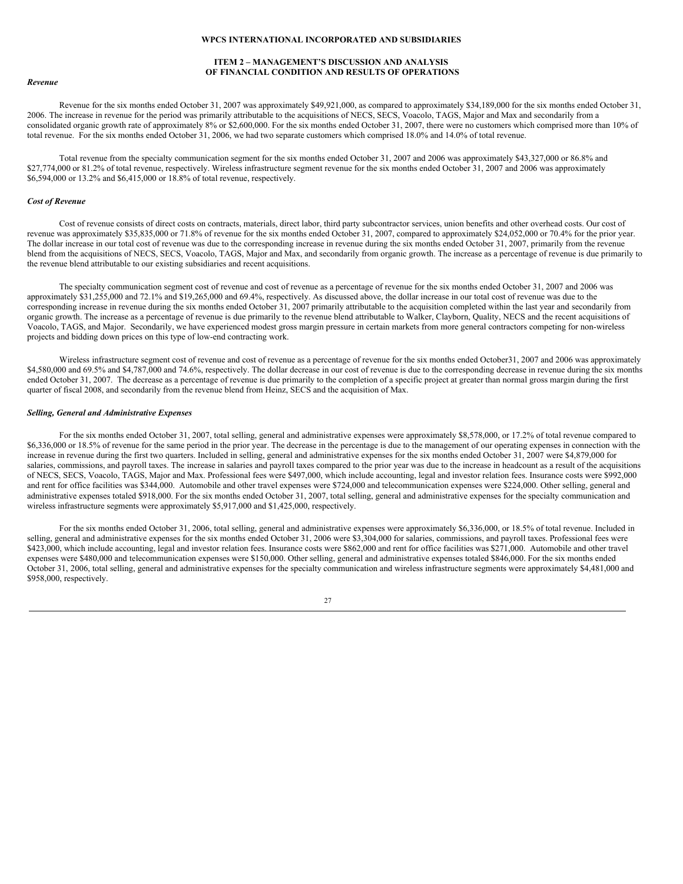# **ITEM 2 – MANAGEMENT'S DISCUSSION AND ANALYSIS OF FINANCIAL CONDITION AND RESULTS OF OPERATIONS**

#### *Revenue*

Revenue for the six months ended October 31, 2007 was approximately \$49,921,000, as compared to approximately \$34,189,000 for the six months ended October 31, 2006. The increase in revenue for the period was primarily attributable to the acquisitions of NECS, SECS, Voacolo, TAGS, Major and Max and secondarily from a consolidated organic growth rate of approximately 8% or \$2,600,000. For the six months ended October 31, 2007, there were no customers which comprised more than 10% of total revenue. For the six months ended October 31, 2006, we had two separate customers which comprised 18.0% and 14.0% of total revenue.

Total revenue from the specialty communication segment for the six months ended October 31, 2007 and 2006 was approximately \$43,327,000 or 86.8% and \$27,774,000 or 81.2% of total revenue, respectively. Wireless infrastructure segment revenue for the six months ended October 31, 2007 and 2006 was approximately \$6,594,000 or 13.2% and \$6,415,000 or 18.8% of total revenue, respectively.

## *Cost of Revenue*

Cost of revenue consists of direct costs on contracts, materials, direct labor, third party subcontractor services, union benefits and other overhead costs. Our cost of revenue was approximately \$35,835,000 or 71.8% of revenue for the six months ended October 31, 2007, compared to approximately \$24,052,000 or 70.4% for the prior year. The dollar increase in our total cost of revenue was due to the corresponding increase in revenue during the six months ended October 31, 2007, primarily from the revenue blend from the acquisitions of NECS, SECS, Voacolo, TAGS, Major and Max, and secondarily from organic growth. The increase as a percentage of revenue is due primarily to the revenue blend attributable to our existing subsidiaries and recent acquisitions.

The specialty communication segment cost of revenue and cost of revenue as a percentage of revenue for the six months ended October 31, 2007 and 2006 was approximately \$31,255,000 and 72.1% and \$19,265,000 and 69.4%, respectively. As discussed above, the dollar increase in our total cost of revenue was due to the corresponding increase in revenue during the six months ended October 31, 2007 primarily attributable to the acquisition completed within the last year and secondarily from organic growth. The increase as a percentage of revenue is due primarily to the revenue blend attributable to Walker, Clayborn, Quality, NECS and the recent acquisitions of Voacolo, TAGS, and Major. Secondarily, we have experienced modest gross margin pressure in certain markets from more general contractors competing for non-wireless projects and bidding down prices on this type of low-end contracting work.

Wireless infrastructure segment cost of revenue and cost of revenue as a percentage of revenue for the six months ended October 31, 2007 and 2006 was approximately \$4,580,000 and 69.5% and \$4,787,000 and 74.6%, respectively. The dollar decrease in our cost of revenue is due to the corresponding decrease in revenue during the six months ended October 31, 2007. The decrease as a percentage of revenue is due primarily to the completion of a specific project at greater than normal gross margin during the first quarter of fiscal 2008, and secondarily from the revenue blend from Heinz, SECS and the acquisition of Max.

### *Selling, General and Administrative Expenses*

For the six months ended October 31, 2007, total selling, general and administrative expenses were approximately \$8,578,000, or 17.2% of total revenue compared to \$6,336,000 or 18.5% of revenue for the same period in the prior year. The decrease in the percentage is due to the management of our operating expenses in connection with the increase in revenue during the first two quarters. Included in selling, general and administrative expenses for the six months ended October 31, 2007 were \$4,879,000 for salaries, commissions, and payroll taxes. The increase in salaries and payroll taxes compared to the prior year was due to the increase in headcount as a result of the acquisitions of NECS, SECS, Voacolo, TAGS, Major and Max. Professional fees were \$497,000, which include accounting, legal and investor relation fees. Insurance costs were \$992,000 and rent for office facilities was \$344,000. Automobile and other travel expenses were \$724,000 and telecommunication expenses were \$224,000. Other selling, general and administrative expenses totaled \$918,000. For the six months ended October 31, 2007, total selling, general and administrative expenses for the specialty communication and wireless infrastructure segments were approximately \$5,917,000 and \$1,425,000, respectively.

For the six months ended October 31, 2006, total selling, general and administrative expenses were approximately \$6,336,000, or 18.5% of total revenue. Included in selling, general and administrative expenses for the six months ended October 31, 2006 were \$3,304,000 for salaries, commissions, and payroll taxes. Professional fees were \$423,000, which include accounting, legal and investor relation fees. Insurance costs were \$862,000 and rent for office facilities was \$271,000. Automobile and other travel expenses were \$480,000 and telecommunication expenses were \$150,000. Other selling, general and administrative expenses totaled \$846,000. For the six months ended October 31, 2006, total selling, general and administrative expenses for the specialty communication and wireless infrastructure segments were approximately \$4,481,000 and \$958,000, respectively.

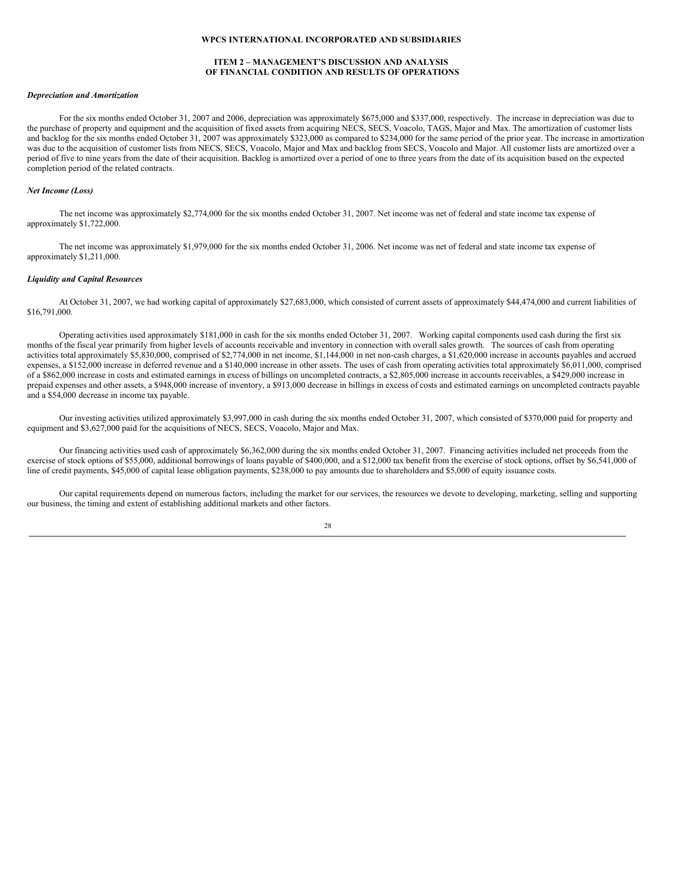### **ITEM 2 – MANAGEMENT'S DISCUSSION AND ANALYSIS OF FINANCIAL CONDITION AND RESULTS OF OPERATIONS**

#### *Depreciation and Amortization*

For the six months ended October 31, 2007 and 2006, depreciation was approximately \$675,000 and \$337,000, respectively. The increase in depreciation was due to the purchase of property and equipment and the acquisition of fixed assets from acquiring NECS, SECS, Voacolo, TAGS, Major and Max. The amortization of customer lists and backlog for the six months ended October 31, 2007 was approximately \$323,000 as compared to \$234,000 for the same period of the prior year. The increase in amortization was due to the acquisition of customer lists from NECS, SECS, Voacolo, Major and Max and backlog from SECS, Voacolo and Major. All customer lists are amortized over a period of five to nine years from the date of their acquisition. Backlog is amortized over a period of one to three years from the date of its acquisition based on the expected completion period of the related contracts.

## *Net Income (Loss)*

The net income was approximately \$2,774,000 for the six months ended October 31, 2007. Net income was net of federal and state income tax expense of approximately \$1,722,000.

The net income was approximately \$1,979,000 for the six months ended October 31, 2006. Net income was net of federal and state income tax expense of approximately \$1,211,000.

#### *Liquidity and Capital Resources*

At October 31, 2007, we had working capital of approximately \$27,683,000, which consisted of current assets of approximately \$44,474,000 and current liabilities of \$16,791,000.

Operating activities used approximately \$181,000 in cash for the six months ended October 31, 2007. Working capital components used cash during the first six months of the fiscal year primarily from higher levels of accounts receivable and inventory in connection with overall sales growth. The sources of cash from operating activities total approximately \$5,830,000, comprised of \$2,774,000 in net income, \$1,144,000 in net non-cash charges, a \$1,620,000 increase in accounts payables and accrued expenses, a \$152,000 increase in deferred revenue and a \$140,000 increase in other assets. The uses of cash from operating activities total approximately \$6,011,000, comprised of a \$862,000 increase in costs and estimated earnings in excess of billings on uncompleted contracts, a \$2,805,000 increase in accounts receivables, a \$429,000 increase in prepaid expenses and other assets, a \$948,000 increase of inventory, a \$913,000 decrease in billings in excess of costs and estimated earnings on uncompleted contracts payable and a \$54,000 decrease in income tax payable.

Our investing activities utilized approximately \$3,997,000 in cash during the six months ended October 31, 2007, which consisted of \$370,000 paid for property and equipment and \$3,627,000 paid for the acquisitions of NECS, SECS, Voacolo, Major and Max.

Our financing activities used cash of approximately \$6,362,000 during the six months ended October 31, 2007. Financing activities included net proceeds from the exercise of stock options of \$55,000, additional borrowings of loans payable of \$400,000, and a \$12,000 tax benefit from the exercise of stock options, offset by \$6,541,000 of line of credit payments, \$45,000 of capital lease obligation payments, \$238,000 to pay amounts due to shareholders and \$5,000 of equity issuance costs.

Our capital requirements depend on numerous factors, including the market for our services, the resources we devote to developing, marketing, selling and supporting our business, the timing and extent of establishing additional markets and other factors.

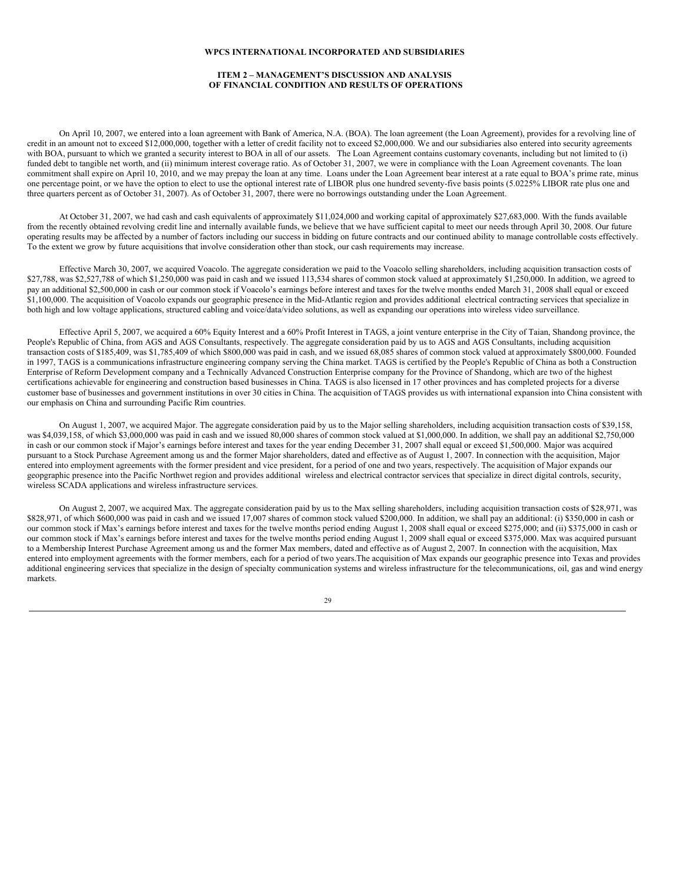## **ITEM 2 – MANAGEMENT'S DISCUSSION AND ANALYSIS OF FINANCIAL CONDITION AND RESULTS OF OPERATIONS**

On April 10, 2007, we entered into a loan agreement with Bank of America, N.A. (BOA). The loan agreement (the Loan Agreement), provides for a revolving line of credit in an amount not to exceed \$12,000,000, together with a letter of credit facility not to exceed \$2,000,000. We and our subsidiaries also entered into security agreements with BOA, pursuant to which we granted a security interest to BOA in all of our assets. The Loan Agreement contains customary covenants, including but not limited to (i) funded debt to tangible net worth, and (ii) minimum interest coverage ratio. As of October 31, 2007, we were in compliance with the Loan Agreement covenants. The loan commitment shall expire on April 10, 2010, and we may prepay the loan at any time. Loans under the Loan Agreement bear interest at a rate equal to BOA's prime rate, minus one percentage point, or we have the option to elect to use the optional interest rate of LIBOR plus one hundred seventy-five basis points (5.0225% LIBOR rate plus one and three quarters percent as of October 31, 2007). As of October 31, 2007, there were no borrowings outstanding under the Loan Agreement.

At October 31, 2007, we had cash and cash equivalents of approximately \$11,024,000 and working capital of approximately \$27,683,000. With the funds available from the recently obtained revolving credit line and internally available funds, we believe that we have sufficient capital to meet our needs through April 30, 2008. Our future operating results may be affected by a number of factors including our success in bidding on future contracts and our continued ability to manage controllable costs effectively. To the extent we grow by future acquisitions that involve consideration other than stock, our cash requirements may increase.

Effective March 30, 2007, we acquired Voacolo. The aggregate consideration we paid to the Voacolo selling shareholders, including acquisition transaction costs of  $$27,788$ , was \$2,527,788 of which \$1,250,000 was paid in cash and we issued 113,534 shares of common stock valued at approximately \$1,250,000. In addition, we agreed to pay an additional \$2,500,000 in cash or our common stock if Voacolo's earnings before interest and taxes for the twelve months ended March 31, 2008 shall equal or exceed  $$1,100,000$ . The acquisition of Voacolo expands our geographic presence in the Mid-Atlantic region and provides additional electrical contracting services that specialize in both high and low voltage applications, structured cabling and voice/data/video solutions, as well as expanding our operations into wireless video surveillance.

Effective April 5, 2007, we acquired a 60% Equity Interest and a 60% Profit Interest in TAGS, a joint venture enterprise in the City of Taian, Shandong province, the People's Republic of China, from AGS and AGS Consultants, respectively. The aggregate consideration paid by us to AGS and AGS Consultants, including acquisition transaction costs of \$185,409, was \$1,785,409 of which \$800,000 was paid in cash, and we issued 68,085 shares of common stock valued at approximately \$800,000. Founded in 1997, TAGS is a communications infrastructure engineering company serving the China market. TAGS is certified by the People's Republic of China as both a Construction Enterprise of Reform Development company and a Technically Advanced Construction Enterprise company for the Province of Shandong, which are two of the highest certifications achievable for engineering and construction based businesses in China. TAGS is also licensed in 17 other provinces and has completed projects for a diverse customer base of businesses and government institutions in over 30 cities in China. The acquisition of TAGS provides us with international expansion into China consistent with our emphasis on China and surrounding Pacific Rim countries.

On August 1, 2007, we acquired Major. The aggregate consideration paid by us to the Major selling shareholders, including acquisition transaction costs of \$39,158, was \$4,039,158, of which \$3,000,000 was paid in cash and we issued 80,000 shares of common stock valued at \$1,000,000. In addition, we shall pay an additional \$2,750,000 in cash or our common stock if Major's earnings before interest and taxes for the year ending December 31, 2007 shall equal or exceed \$1,500,000. Major was acquired pursuant to a Stock Purchase Agreement among us and the former Major shareholders, dated and effective as of August 1, 2007. In connection with the acquisition, Major entered into employment agreements with the former president and vice president, for a period of one and two years, respectively. The acquisition of Major expands our geopgraphic presence into the Pacific Northwet region and provides additional wireless and electrical contractor services that specialize in direct digital controls, security, wireless SCADA applications and wireless infrastructure services.

On August 2, 2007, we acquired Max. The aggregate consideration paid by us to the Max selling shareholders, including acquisition transaction costs of \$28,971, was \$828,971, of which \$600,000 was paid in cash and we issued 17,007 shares of common stock valued \$200,000. In addition, we shall pay an additional: (i) \$350,000 in cash or our common stock if Max's earnings before interest and taxes for the twelve months period ending August 1, 2008 shall equal or exceed \$275,000; and (ii) \$375,000 in cash or our common stock if Max's earnings before interest and taxes for the twelve months period ending August 1, 2009 shall equal or exceed \$375,000. Max was acquired pursuant to a Membership Interest Purchase Agreement among us and the former Max members, dated and effective as of August 2, 2007. In connection with the acquisition, Max entered into employment agreements with the former members, each for a period of two years.The acquisition of Max expands our geographic presence into Texas and provides additional engineering services that specialize in the design of specialty communication systems and wireless infrastructure for the telecommunications, oil, gas and wind energy markets.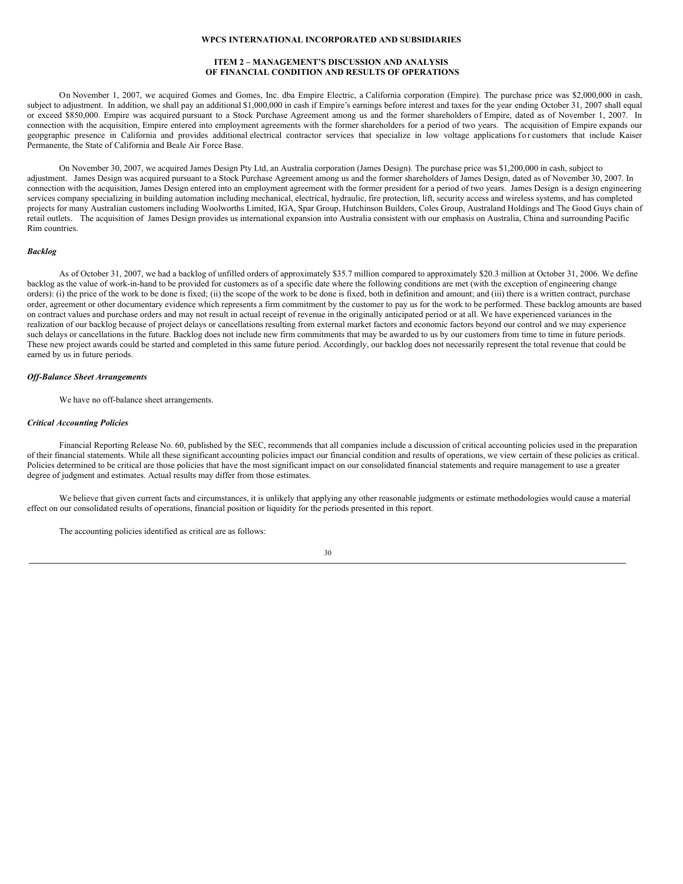### **ITEM 2 – MANAGEMENT'S DISCUSSION AND ANALYSIS OF FINANCIAL CONDITION AND RESULTS OF OPERATIONS**

On November 1, 2007, we acquired Gomes and Gomes, Inc. dba Empire Electric, a California corporation (Empire). The purchase price was \$2,000,000 in cash, subject to adjustment. In addition, we shall pay an additional \$1,000,000 in cash if Empire's earnings before interest and taxes for the year ending October 31, 2007 shall equal or exceed \$850,000. Empire was acquired pursuant to a Stock Purchase Agreement among us and the former shareholders of Empire, dated as of November 1, 2007. In connection with the acquisition, Empire entered into employment agreements with the former shareholders for a period of two years. The acquisition of Empire expands our geopgraphic presence in California and provides additional electrical contractor services that specialize in low voltage applications for customers that include Kaiser Permanente, the State of California and Beale Air Force Base.

On November 30, 2007, we acquired James Design Pty Ltd, an Australia corporation (James Design). The purchase price was \$1,200,000 in cash, subject to adjustment. James Design was acquired pursuant to a Stock Purchase Agreement among us and the former shareholders of James Design, dated as of November 30, 2007. In connection with the acquisition, James Design entered into an employment agreement with the former president for a period of two years. James Design is a design engineering services company specializing in building automation including mechanical, electrical, hydraulic, fire protection, lift, security access and wireless systems, and has completed projects for many Australian customers including Woolworths Limited, IGA, Spar Group, Hutchinson Builders, Coles Group, Australand Holdings and The Good Guys chain of retail outlets. The acquisition of James Design provides us international expansion into Australia consistent with our emphasis on Australia, China and surrounding Pacific Rim countries.

#### *Backlog*

As of October 31, 2007, we had a backlog of unfilled orders of approximately \$35.7 million compared to approximately \$20.3 million at October 31, 2006. We define backlog as the value of work-in-hand to be provided for customers as of a specific date where the following conditions are met (with the exception of engineering change orders): (i) the price of the work to be done is fixed; (ii) the scope of the work to be done is fixed, both in definition and amount; and (iii) there is a written contract, purchase order, agreement or other documentary evidence which represents a firm commitment by the customer to pay us for the work to be performed. These backlog amounts are based on contract values and purchase orders and may not result in actual receipt of revenue in the originally anticipated period or at all. We have experienced variances in the realization of our backlog because of project delays or cancellations resulting from external market factors and economic factors beyond our control and we may experience such delays or cancellations in the future. Backlog does not include new firm commitments that may be awarded to us by our customers from time to time in future periods. These new project awards could be started and completed in this same future period. Accordingly, our backlog does not necessarily represent the total revenue that could be earned by us in future periods.

#### *Of -Balance Sheet Arrangements*

We have no off-balance sheet arrangements.

#### *Critical Accounting Policies*

Financial Reporting Release No. 60, published by the SEC, recommends that all companies include a discussion of critical accounting policies used in the preparation of their financial statements. While all these significant accounting policies impact our financial condition and results of operations, we view certain of these policies as critical. Policies determined to be critical are those policies that have the most significant impact on our consolidated financial statements and require management to use a greater degree of judgment and estimates. Actual results may differ from those estimates.

We believe that given current facts and circumstances, it is unlikely that applying any other reasonable judgments or estimate methodologies would cause a material effect on our consolidated results of operations, financial position or liquidity for the periods presented in this report.

The accounting policies identified as critical are as follows: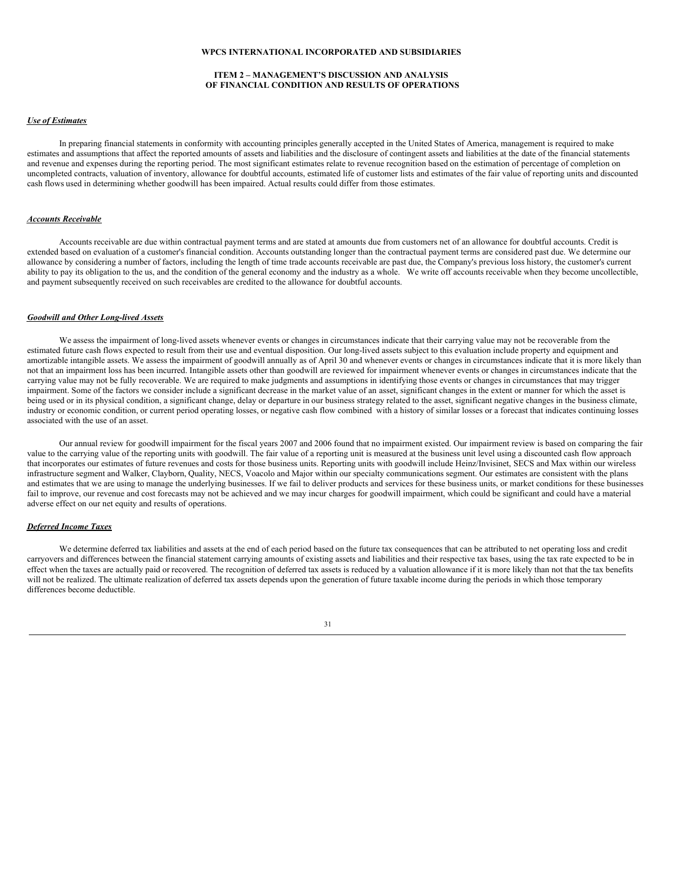## **ITEM 2 – MANAGEMENT'S DISCUSSION AND ANALYSIS OF FINANCIAL CONDITION AND RESULTS OF OPERATIONS**

### *Use of Estimates*

In preparing financial statements in conformity with accounting principles generally accepted in the United States of America, management is required to make estimates and assumptions that affect the reported amounts of assets and liabilities and the disclosure of contingent assets and liabilities at the date of the financial statements and revenue and expenses during the reporting period. The most significant estimates relate to revenue recognition based on the estimation of percentage of completion on uncompleted contracts, valuation of inventory, allowance for doubtful accounts, estimated life of customer lists and estimates of the fair value of reporting units and discounted cash flows used in determining whether goodwill has been impaired. Actual results could differ from those estimates.

## *Accounts Receivable*

Accounts receivable are due within contractual payment terms and are stated at amounts due from customers net of an allowance for doubtful accounts. Credit is extended based on evaluation of a customer's financial condition. Accounts outstanding longer than the contractual payment terms are considered past due. We determine our allowance by considering a number of factors, including the length of time trade accounts receivable are past due, the Company's previous loss history, the customer's current ability to pay its obligation to the us, and the condition of the general economy and the industry as a whole. We write off accounts receivable when they become uncollectible, and payment subsequently received on such receivables are credited to the allowance for doubtful accounts.

## *Goodwill and Other Long-lived Assets*

We assess the impairment of long-lived assets whenever events or changes in circumstances indicate that their carrying value may not be recoverable from the estimated future cash flows expected to result from their use and eventual disposition. Our long-lived assets subject to this evaluation include property and equipment and amortizable intangible assets. We assess the impairment of goodwill annually as of April 30 and whenever events or changes in circumstances indicate that it is more likely than not that an impairment loss has been incurred. Intangible assets other than goodwill are reviewed for impairment whenever events or changes in circumstances indicate that the carrying value may not be fully recoverable. We are required to make judgments and assumptions in identifying those events or changes in circumstances that may trigger impairment. Some of the factors we consider include a significant decrease in the market value of an asset, significant changes in the extent or manner for which the asset is being used or in its physical condition, a significant change, delay or departure in our business strategy related to the asset, significant negative changes in the business climate, industry or economic condition, or current period operating losses, or negative cash flow combined with a history of similar losses or a forecast that indicates continuing losses associated with the use of an asset.

Our annual review for goodwill impairment for the fiscal years 2007 and 2006 found that no impairment existed. Our impairment review is based on comparing the fair value to the carrying value of the reporting units with goodwill. The fair value of a reporting unit is measured at the business unit level using a discounted cash flow approach that incorporates our estimates of future revenues and costs for those business units. Reporting units with goodwill include Heinz/Invisinet, SECS and Max within our wireless infrastructure segment and Walker, Clayborn, Quality, NECS, Voacolo and Major within our specialty communications segment. Our estimates are consistent with the plans and estimates that we are using to manage the underlying businesses. If we fail to deliver products and services for these business units, or market conditions for these businesses fail to improve, our revenue and cost forecasts may not be achieved and we may incur charges for goodwill impairment, which could be significant and could have a material adverse effect on our net equity and results of operations.

## *Deferred Income Taxes*

We determine deferred tax liabilities and assets at the end of each period based on the future tax consequences that can be attributed to net operating loss and credit carryovers and differences between the financial statement carrying amounts of existing assets and liabilities and their respective tax bases, using the tax rate expected to be in effect when the taxes are actually paid or recovered. The recognition of deferred tax assets is reduced by a valuation allowance if it is more likely than not that the tax benefits will not be realized. The ultimate realization of deferred tax assets depends upon the generation of future taxable income during the periods in which those temporary differences become deductible.

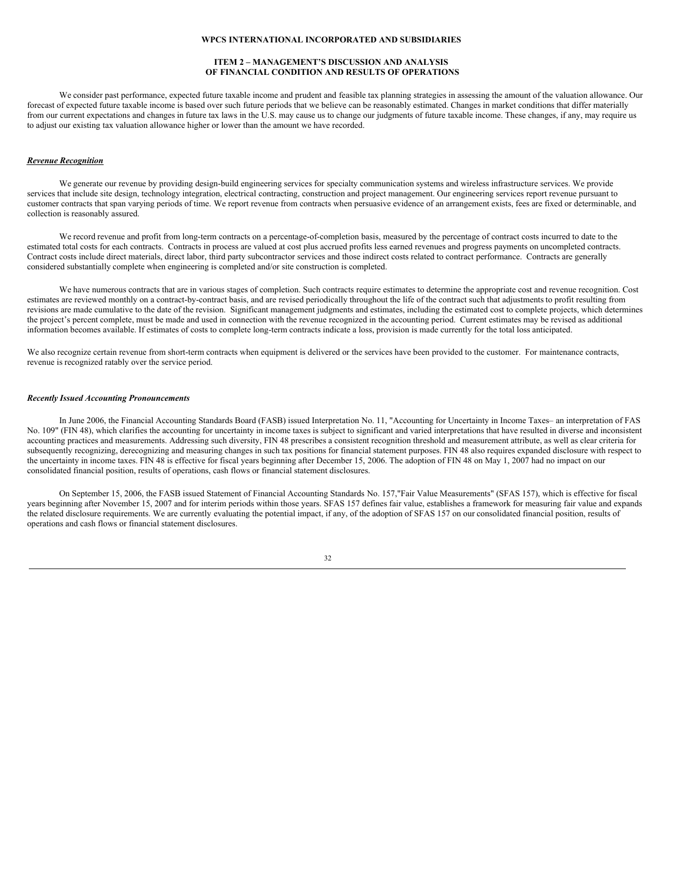### **ITEM 2 – MANAGEMENT'S DISCUSSION AND ANALYSIS OF FINANCIAL CONDITION AND RESULTS OF OPERATIONS**

We consider past performance, expected future taxable income and prudent and feasible tax planning strategies in assessing the amount of the valuation allowance. Our forecast of expected future taxable income is based over such future periods that we believe can be reasonably estimated. Changes in market conditions that differ materially from our current expectations and changes in future tax laws in the U.S. may cause us to change our judgments of future taxable income. These changes, if any, may require us to adjust our existing tax valuation allowance higher or lower than the amount we have recorded.

#### *Revenue Recognition*

We generate our revenue by providing design-build engineering services for specialty communication systems and wireless infrastructure services. We provide services that include site design, technology integration, electrical contracting, construction and project management. Our engineering services report revenue pursuant to customer contracts that span varying periods of time. We report revenue from contracts when persuasive evidence of an arrangement exists, fees are fixed or determinable, and collection is reasonably assured.

We record revenue and profit from long-term contracts on a percentage-of-completion basis, measured by the percentage of contract costs incurred to date to the estimated total costs for each contracts. Contracts in process are valued at cost plus accrued profits less earned revenues and progress payments on uncompleted contracts. Contract costs include direct materials, direct labor, third party subcontractor services and those indirect costs related to contract performance. Contracts are generally considered substantially complete when engineering is completed and/or site construction is completed.

We have numerous contracts that are in various stages of completion. Such contracts require estimates to determine the appropriate cost and revenue recognition. Cost estimates are reviewed monthly on a contract-by-contract basis, and are revised periodically throughout the life of the contract such that adjustments to profit resulting from revisions are made cumulative to the date of the revision. Significant management judgments and estimates, including the estimated cost to complete projects, which determines the project's percent complete, must be made and used in connection with the revenue recognized in the accounting period. Current estimates may be revised as additional information becomes available. If estimates of costs to complete long-term contracts indicate a loss, provision is made currently for the total loss anticipated.

We also recognize certain revenue from short-term contracts when equipment is delivered or the services have been provided to the customer. For maintenance contracts, revenue is recognized ratably over the service period.

#### *Recently Issued Accounting Pronouncements*

In June 2006, the Financial Accounting Standards Board (FASB) issued Interpretation No. 11, "Accounting for Uncertainty in Income Taxes*–* an interpretation of FAS No. 109" (FIN 48), which clarifies the accounting for uncertainty in income taxes is subject to significant and varied interpretations that have resulted in diverse and inconsistent accounting practices and measurements. Addressing such diversity, FIN 48 prescribes a consistent recognition threshold and measurement attribute, as well as clear criteria for subsequently recognizing, derecognizing and measuring changes in such tax positions for financial statement purposes. FIN 48 also requires expanded disclosure with respect to the uncertainty in income taxes. FIN 48 is effective for fiscal years beginning after December 15, 2006. The adoption of FIN 48 on May 1, 2007 had no impact on our consolidated financial position, results of operations, cash flows or financial statement disclosures.

On September 15, 2006, the FASB issued Statement of Financial Accounting Standards No. 157,"Fair Value Measurements" (SFAS 157), which is effective for fiscal years beginning after November 15, 2007 and for interim periods within those years. SFAS 157 defines fair value, establishes a framework for measuring fair value and expands the related disclosure requirements. We are currently evaluating the potential impact, if any, of the adoption of SFAS 157 on our consolidated financial position, results of operations and cash flows or financial statement disclosures.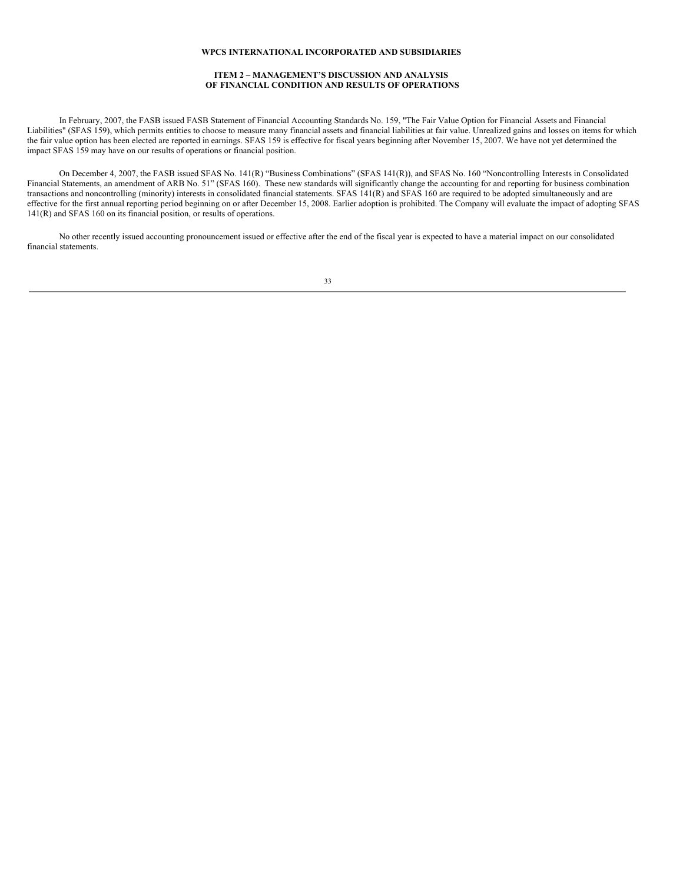## **ITEM 2 – MANAGEMENT'S DISCUSSION AND ANALYSIS OF FINANCIAL CONDITION AND RESULTS OF OPERATIONS**

In February, 2007, the FASB issued FASB Statement of Financial Accounting Standards No. 159, "The Fair Value Option for Financial Assets and Financial Liabilities" (SFAS 159), which permits entities to choose to measure many financial assets and financial liabilities at fair value. Unrealized gains and losses on items for which the fair value option has been elected are reported in earnings. SFAS 159 is effective for fiscal years beginning after November 15, 2007. We have not yet determined the impact SFAS 159 may have on our results of operations or financial position.

On December 4, 2007, the FASB issued SFAS No. 141(R) "Business Combinations" (SFAS 141(R)), and SFAS No. 160 "Noncontrolling Interests in Consolidated Financial Statements, an amendment of ARB No. 51" (SFAS 160). These new standards will significantly change the accounting for and reporting for business combination transactions and noncontrolling (minority) interests in consolidated financial statements. SFAS 141(R) and SFAS 160 are required to be adopted simultaneously and are effective for the first annual reporting period beginning on or after December 15, 2008. Earlier adoption is prohibited. The Company will evaluate the impact of adopting SFAS 141(R) and SFAS 160 on its financial position, or results of operations.

No other recently issued accounting pronouncement issued or effective after the end of the fiscal year is expected to have a material impact on our consolidated financial statements.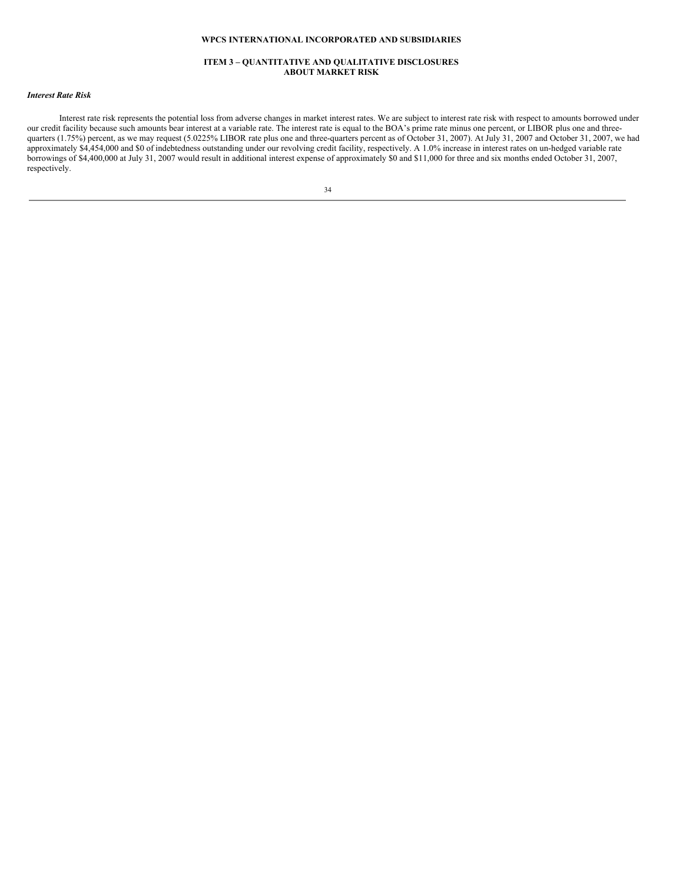## **ITEM 3 – QUANTITATIVE AND QUALITATIVE DISCLOSURES ABOUT MARKET RISK**

# *Interest Rate Risk*

Interest rate risk represents the potential loss from adverse changes in market interest rates. We are subject to interest rate risk with respect to amounts borrowed under our credit facility because such amounts bear interest at a variable rate. The interest rate is equal to the BOA's prime rate minus one percent, or LIBOR plus one and threequarters (1.75%) percent, as we may request (5.0225% LIBOR rate plus one and three-quarters percent as of October 31, 2007). At July 31, 2007 and October 31, 2007, we had approximately \$4,454,000 and \$0 of indebtedness outstanding under our revolving credit facility, respectively. A 1.0% increase in interest rates on un-hedged variable rate borrowings of \$4,400,000 at July 31, 2007 would result in additional interest expense of approximately \$0 and \$11,000 for three and six months ended October 31, 2007, respectively.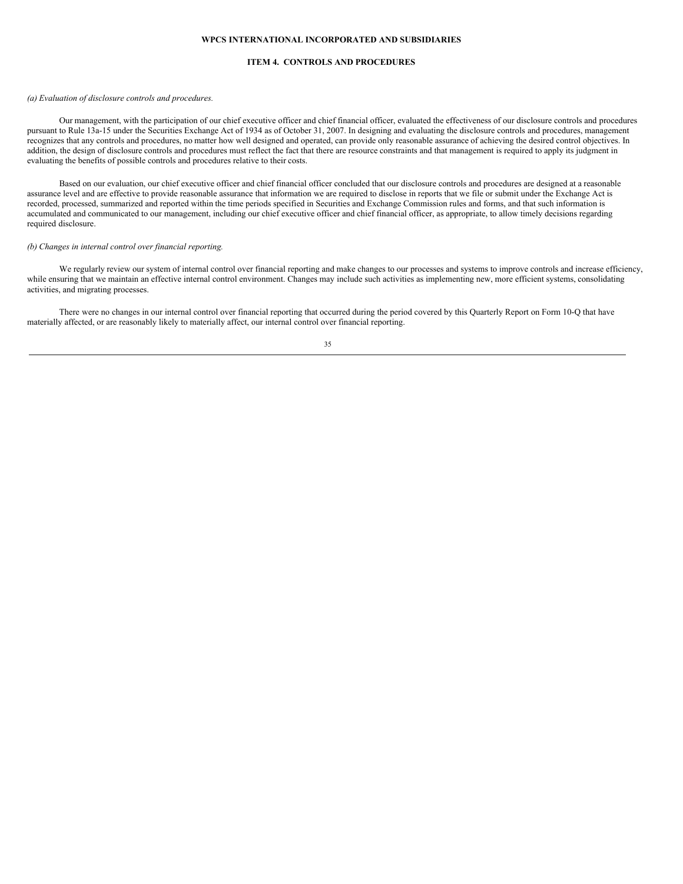# **ITEM 4. CONTROLS AND PROCEDURES**

#### *(a) Evaluation of disclosure controls and procedures.*

Our management, with the participation of our chief executive officer and chief financial officer, evaluated the effectiveness of our disclosure controls and procedures pursuant to Rule 13a-15 under the Securities Exchange Act of 1934 as of October 31, 2007. In designing and evaluating the disclosure controls and procedures, management recognizes that any controls and procedures, no matter how well designed and operated, can provide only reasonable assurance of achieving the desired control objectives. In addition, the design of disclosure controls and procedures must reflect the fact that there are resource constraints and that management is required to apply its judgment in evaluating the benefits of possible controls and procedures relative to their costs.

Based on our evaluation, our chief executive officer and chief financial officer concluded that our disclosure controls and procedures are designed at a reasonable assurance level and are effective to provide reasonable assurance that information we are required to disclose in reports that we file or submit under the Exchange Act is recorded, processed, summarized and reported within the time periods specified in Securities and Exchange Commission rules and forms, and that such information is accumulated and communicated to our management, including our chief executive officer and chief financial officer, as appropriate, to allow timely decisions regarding required disclosure.

#### *(b) Changes in internal control over financial reporting.*

We regularly review our system of internal control over financial reporting and make changes to our processes and systems to improve controls and increase efficiency, while ensuring that we maintain an effective internal control environment. Changes may include such activities as implementing new, more efficient systems, consolidating activities, and migrating processes.

There were no changes in our internal control over financial reporting that occurred during the period covered by this Quarterly Report on Form 10-Q that have materially affected, or are reasonably likely to materially affect, our internal control over financial reporting.

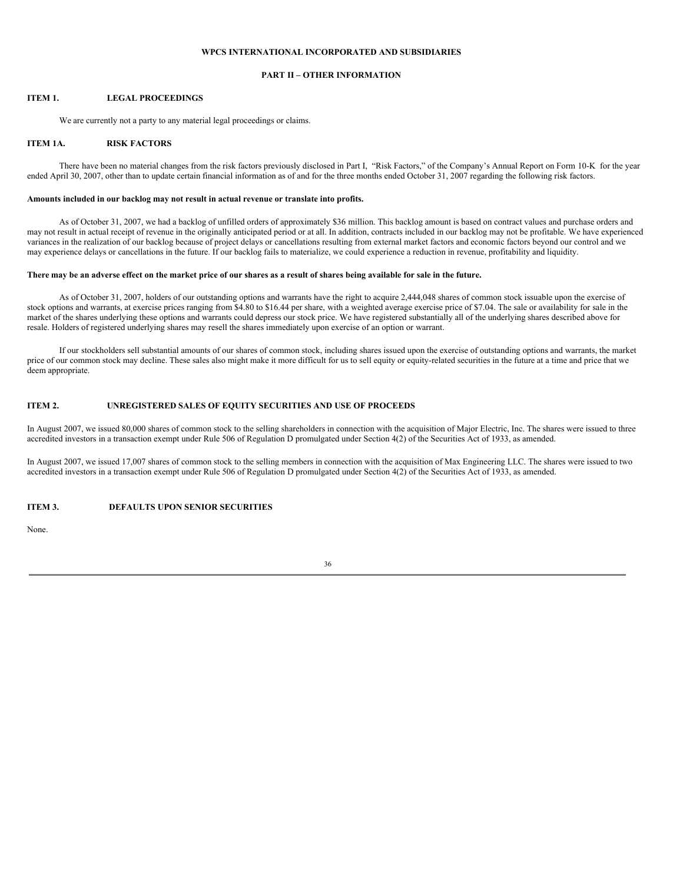# **PART II – OTHER INFORMATION**

## **ITEM 1. LEGAL PROCEEDINGS**

We are currently not a party to any material legal proceedings or claims.

#### **ITEM 1A. RISK FACTORS**

There have been no material changes from the risk factors previously disclosed in Part I, "Risk Factors," of the Company's Annual Report on Form 10-K for the year ended April 30, 2007, other than to update certain financial information as of and for the three months ended October 31, 2007 regarding the following risk factors.

#### **Amounts included in our backlog may not result in actual revenue or translate into profits.**

As of October 31, 2007, we had a backlog of unfilled orders of approximately \$36 million. This backlog amount is based on contract values and purchase orders and may not result in actual receipt of revenue in the originally anticipated period or at all. In addition, contracts included in our backlog may not be profitable. We have experienced variances in the realization of our backlog because of project delays or cancellations resulting from external market factors and economic factors beyond our control and we may experience delays or cancellations in the future. If our backlog fails to materialize, we could experience a reduction in revenue, profitability and liquidity.

# There may be an adverse effect on the market price of our shares as a result of shares being available for sale in the future.

As of October 31, 2007, holders of our outstanding options and warrants have the right to acquire 2,444,048 shares of common stock issuable upon the exercise of stock options and warrants, at exercise prices ranging from \$4.80 to \$16.44 per share, with a weighted average exercise price of \$7.04. The sale or availability for sale in the market of the shares underlying these options and warrants could depress our stock price. We have registered substantially all of the underlying shares described above for resale. Holders of registered underlying shares may resell the shares immediately upon exercise of an option or warrant.

If our stockholders sell substantial amounts of our shares of common stock, including shares issued upon the exercise of outstanding options and warrants, the market price of our common stock may decline. These sales also might make it more difficult for us to sell equity or equity-related securities in the future at a time and price that we deem appropriate.

# **ITEM 2. UNREGISTERED SALES OF EQUITY SECURITIES AND USE OF PROCEEDS**

In August 2007, we issued 80,000 shares of common stock to the selling shareholders in connection with the acquisition of Major Electric, Inc. The shares were issued to three accredited investors in a transaction exempt under Rule 506 of Regulation D promulgated under Section 4(2) of the Securities Act of 1933, as amended.

In August 2007, we issued 17,007 shares of common stock to the selling members in connection with the acquisition of Max Engineering LLC. The shares were issued to two accredited investors in a transaction exempt under Rule 506 of Regulation D promulgated under Section  $4(2)$  of the Securities Act of 1933, as amended.

### **ITEM 3. DEFAULTS UPON SENIOR SECURITIES**

None.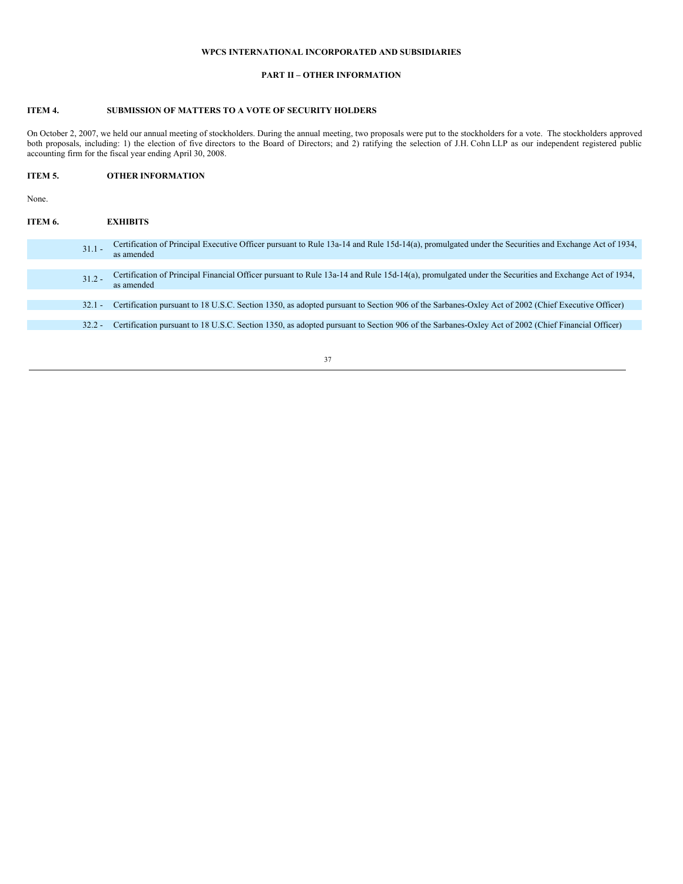# **PART II – OTHER INFORMATION**

# **ITEM 4. SUBMISSION OF MATTERS TO A VOTE OF SECURITY HOLDERS**

On October 2, 2007, we held our annual meeting of stockholders. During the annual meeting, two proposals were put to the stockholders for a vote. The stockholders approved both proposals, including: 1) the election of five directors to the Board of Directors; and 2) ratifying the selection of J.H. Cohn LLP as our independent registered public accounting firm for the fiscal year ending April 30, 2008.

# **ITEM 5. OTHER INFORMATION**

None.

| ITEM 6. |          | <b>EXHIBITS</b>                                                                                                                                                   |
|---------|----------|-------------------------------------------------------------------------------------------------------------------------------------------------------------------|
|         | $31.1 -$ | Certification of Principal Executive Officer pursuant to Rule 13a-14 and Rule 15d-14(a), promulgated under the Securities and Exchange Act of 1934,<br>as amended |
|         |          |                                                                                                                                                                   |
|         | $31.2 -$ | Certification of Principal Financial Officer pursuant to Rule 13a-14 and Rule 15d-14(a), promulgated under the Securities and Exchange Act of 1934,<br>as amended |
|         |          |                                                                                                                                                                   |
|         | $32.1 -$ | Certification pursuant to 18 U.S.C. Section 1350, as adopted pursuant to Section 906 of the Sarbanes-Oxley Act of 2002 (Chief Executive Officer)                  |
|         |          |                                                                                                                                                                   |
|         | $32.2 -$ | Certification pursuant to 18 U.S.C. Section 1350, as adopted pursuant to Section 906 of the Sarbanes-Oxley Act of 2002 (Chief Financial Officer)                  |
|         |          |                                                                                                                                                                   |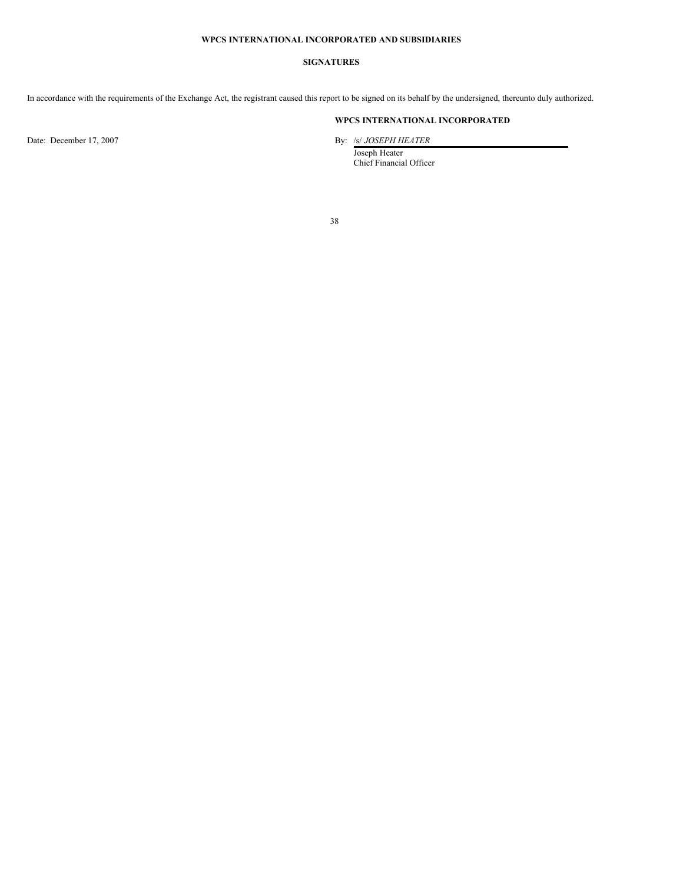# **SIGNATURES**

In accordance with the requirements of the Exchange Act, the registrant caused this report to be signed on its behalf by the undersigned, thereunto duly authorized.

# **WPCS INTERNATIONAL INCORPORATED**

Date: December 17, 2007 **By:** /s/ *JOSEPH HEATER* 

Joseph Heater Chief Financial Officer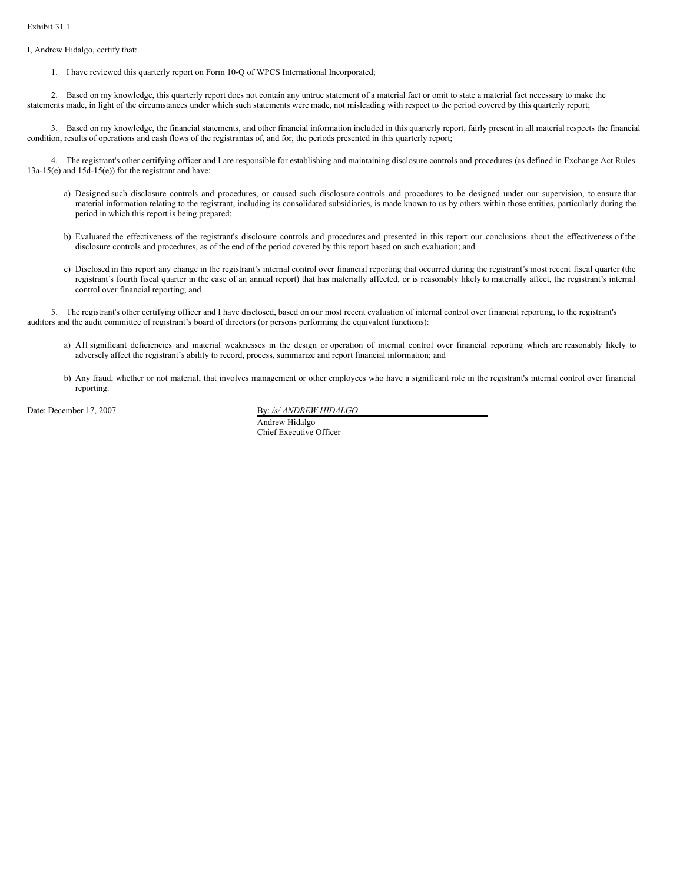I, Andrew Hidalgo, certify that:

1. I have reviewed this quarterly report on Form 10-Q of WPCS International Incorporated;

2. Based on my knowledge, this quarterly report does not contain any untrue statement of a material fact or omit to state a material fact necessary to make the statements made, in light of the circumstances under which such statements were made, not misleading with respect to the period covered by this quarterly report;

3. Based on my knowledge, the financial statements, and other financial information included in this quarterly report, fairly present in all material respects the financial condition, results of operations and cash flows of the registrantas of, and for, the periods presented in this quarterly report;

4. The registrant's other certifying officer and I are responsible for establishing and maintaining disclosure controls and procedures (as defined in Exchange Act Rules 13a-15(e) and 15d-15(e)) for the registrant and have:

- a) Designed such disclosure controls and procedures, or caused such disclosure controls and procedures to be designed under our supervision, to ensure that material information relating to the registrant, including its consolidated subsidiaries, is made known to us by others within those entities, particularly during the period in which this report is being prepared;
- b) Evaluated the effectiveness of the registrant's disclosure controls and procedures and presented in this report our conclusions about the effectiveness o f the disclosure controls and procedures, as of the end of the period covered by this report based on such evaluation; and
- c) Disclosed in this report any change in the registrant's internal control over financial reporting that occurred during the registrant's most recent fiscal quarter (the registrant's fourth fiscal quarter in the case of an annual report) that has materially affected, or is reasonably likely to materially affect, the registrant's internal control over financial reporting; and

5. The registrant's other certifying officer and I have disclosed, based on our most recent evaluation of internal control over financial reporting, to the registrant's auditors and the audit committee of registrant's board of directors (or persons performing the equivalent functions):

- a) All significant deficiencies and material weaknesses in the design or operation of internal control over financial reporting which are reasonably likely to adversely affect the registrant's ability to record, process, summarize and report financial information; and
- b) Any fraud, whether or not material, that involves management or other employees who have a significant role in the registrant's internal control over financial reporting.

Date: December 17, 2007 By: /s/ *ANDREW HIDALGO* 

Andrew Hidalgo Chief Executive Officer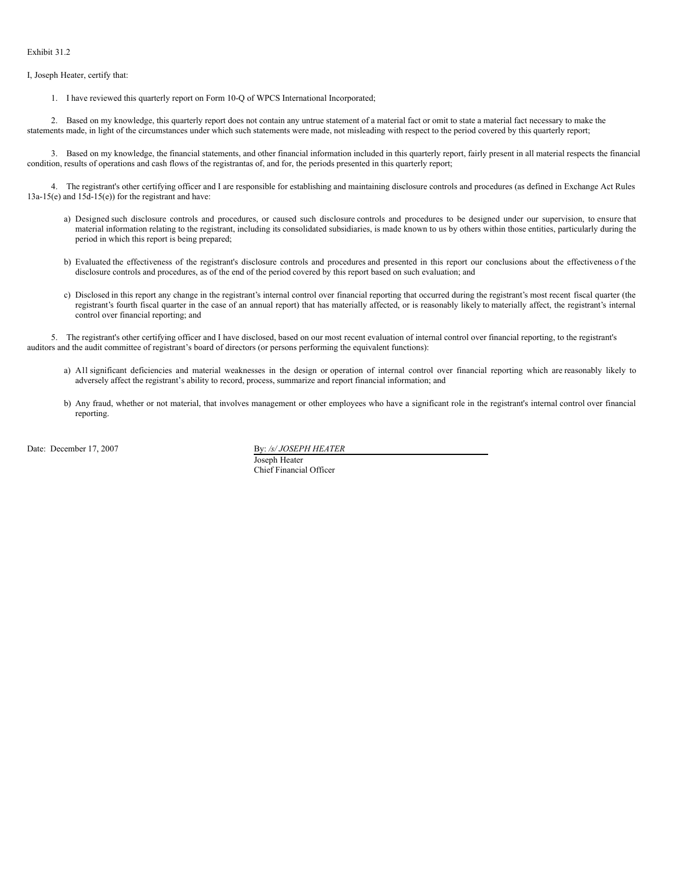Exhibit 31.2

I, Joseph Heater, certify that:

1. I have reviewed this quarterly report on Form 10-Q of WPCS International Incorporated;

2. Based on my knowledge, this quarterly report does not contain any untrue statement of a material fact or omit to state a material fact necessary to make the statements made, in light of the circumstances under which such statements were made, not misleading with respect to the period covered by this quarterly report;

3. Based on my knowledge, the financial statements, and other financial information included in this quarterly report, fairly present in all material respects the financial condition, results of operations and cash flows of the registrantas of, and for, the periods presented in this quarterly report;

4. The registrant's other certifying officer and I are responsible for establishing and maintaining disclosure controls and procedures (as defined in Exchange Act Rules 13a-15(e) and 15d-15(e)) for the registrant and have:

- a) Designed such disclosure controls and procedures, or caused such disclosure controls and procedures to be designed under our supervision, to ensure that material information relating to the registrant, including its consolidated subsidiaries, is made known to us by others within those entities, particularly during the period in which this report is being prepared;
- b) Evaluated the effectiveness of the registrant's disclosure controls and procedures and presented in this report our conclusions about the effectiveness o f the disclosure controls and procedures, as of the end of the period covered by this report based on such evaluation; and
- c) Disclosed in this report any change in the registrant's internal control over financial reporting that occurred during the registrant's most recent fiscal quarter (the registrant's fourth fiscal quarter in the case of an annual report) that has materially affected, or is reasonably likely to materially affect, the registrant's internal control over financial reporting; and

5. The registrant's other certifying officer and I have disclosed, based on our most recent evaluation of internal control over financial reporting, to the registrant's auditors and the audit committee of registrant's board of directors (or persons performing the equivalent functions):

- a) All significant deficiencies and material weaknesses in the design or operation of internal control over financial reporting which are reasonably likely to adversely affect the registrant's ability to record, process, summarize and report financial information; and
- b) Any fraud, whether or not material, that involves management or other employees who have a significant role in the registrant's internal control over financial reporting.

Date: December 17, 2007 By: /s/ *JOSEPH HEATER* 

Joseph Heater Chief Financial Officer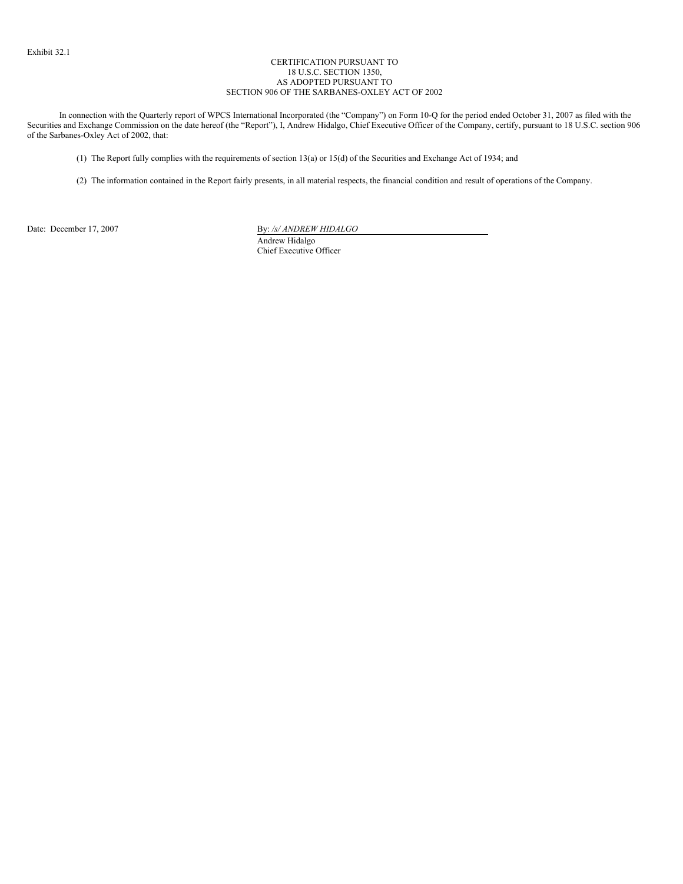## CERTIFICATION PURSUANT TO 18 U.S.C. SECTION 1350, AS ADOPTED PURSUANT TO SECTION 906 OF THE SARBANES-OXLEY ACT OF 2002

In connection with the Quarterly report of WPCS International Incorporated (the "Company") on Form 10-Q for the period ended October 31, 2007 as filed with the Securities and Exchange Commission on the date hereof (the "Report"), I, Andrew Hidalgo, Chief Executive Officer of the Company, certify, pursuant to 18 U.S.C. section 906 of the Sarbanes-Oxley Act of 2002, that:

(1) The Report fully complies with the requirements of section 13(a) or 15(d) of the Securities and Exchange Act of 1934; and

(2) The information contained in the Report fairly presents, in all material respects, the financial condition and result of operations of the Company.

Date: December 17, 2007 By: /s/ *ANDREW HIDALGO* 

Andrew Hidalgo Chief Executive Officer